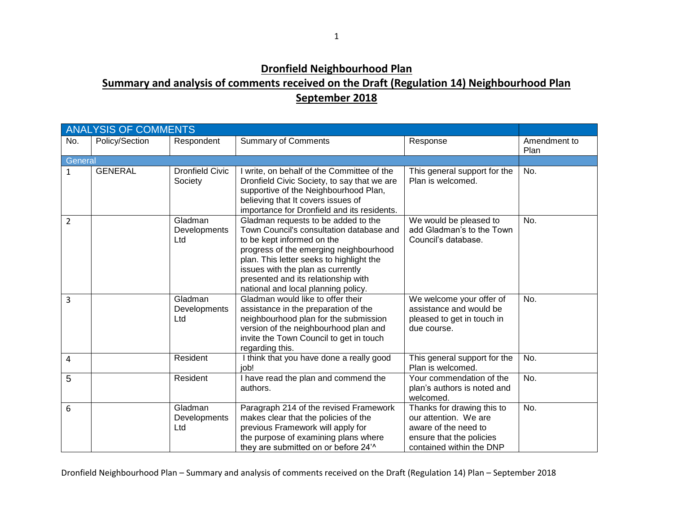## **Dronfield Neighbourhood Plan**

## **Summary and analysis of comments received on the Draft (Regulation 14) Neighbourhood Plan September 2018**

|                | <b>ANALYSIS OF COMMENTS</b> |                                   |                                                                                                                                                                                                                                                                                                                        |                                                                                                                                     |                      |  |
|----------------|-----------------------------|-----------------------------------|------------------------------------------------------------------------------------------------------------------------------------------------------------------------------------------------------------------------------------------------------------------------------------------------------------------------|-------------------------------------------------------------------------------------------------------------------------------------|----------------------|--|
| No.            | Policy/Section              | Respondent                        | <b>Summary of Comments</b>                                                                                                                                                                                                                                                                                             | Response                                                                                                                            | Amendment to<br>Plan |  |
| General        |                             |                                   |                                                                                                                                                                                                                                                                                                                        |                                                                                                                                     |                      |  |
| $\mathbf{1}$   | <b>GENERAL</b>              | <b>Dronfield Civic</b><br>Society | I write, on behalf of the Committee of the<br>Dronfield Civic Society, to say that we are<br>supportive of the Neighbourhood Plan,<br>believing that It covers issues of<br>importance for Dronfield and its residents.                                                                                                | This general support for the<br>Plan is welcomed.                                                                                   | No.                  |  |
| $\overline{2}$ |                             | Gladman<br>Developments<br>Ltd    | Gladman requests to be added to the<br>Town Council's consultation database and<br>to be kept informed on the<br>progress of the emerging neighbourhood<br>plan. This letter seeks to highlight the<br>issues with the plan as currently<br>presented and its relationship with<br>national and local planning policy. | We would be pleased to<br>add Gladman's to the Town<br>Council's database.                                                          | No.                  |  |
| 3              |                             | Gladman<br>Developments<br>Ltd    | Gladman would like to offer their<br>assistance in the preparation of the<br>neighbourhood plan for the submission<br>version of the neighbourhood plan and<br>invite the Town Council to get in touch<br>regarding this.                                                                                              | We welcome your offer of<br>assistance and would be<br>pleased to get in touch in<br>due course.                                    | No.                  |  |
| $\overline{4}$ |                             | Resident                          | I think that you have done a really good<br>iob!                                                                                                                                                                                                                                                                       | This general support for the<br>Plan is welcomed.                                                                                   | No.                  |  |
| 5              |                             | Resident                          | I have read the plan and commend the<br>authors.                                                                                                                                                                                                                                                                       | Your commendation of the<br>plan's authors is noted and<br>welcomed.                                                                | No.                  |  |
| 6              |                             | Gladman<br>Developments<br>Ltd    | Paragraph 214 of the revised Framework<br>makes clear that the policies of the<br>previous Framework will apply for<br>the purpose of examining plans where<br>they are submitted on or before 24 <sup>'^</sup>                                                                                                        | Thanks for drawing this to<br>our attention. We are<br>aware of the need to<br>ensure that the policies<br>contained within the DNP | No.                  |  |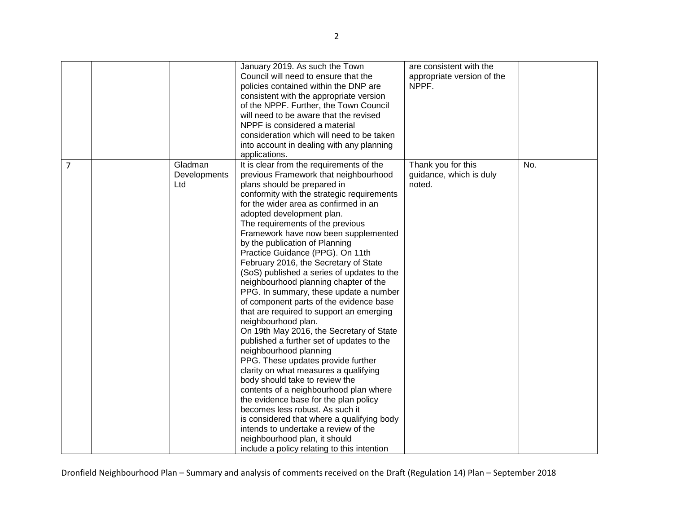|   |              | January 2019. As such the Town              | are consistent with the    |     |
|---|--------------|---------------------------------------------|----------------------------|-----|
|   |              | Council will need to ensure that the        | appropriate version of the |     |
|   |              | policies contained within the DNP are       | NPPF.                      |     |
|   |              |                                             |                            |     |
|   |              | consistent with the appropriate version     |                            |     |
|   |              | of the NPPF. Further, the Town Council      |                            |     |
|   |              | will need to be aware that the revised      |                            |     |
|   |              | NPPF is considered a material               |                            |     |
|   |              | consideration which will need to be taken   |                            |     |
|   |              | into account in dealing with any planning   |                            |     |
|   |              | applications.                               |                            |     |
| 7 | Gladman      | It is clear from the requirements of the    | Thank you for this         | No. |
|   | Developments | previous Framework that neighbourhood       | guidance, which is duly    |     |
|   | Ltd          | plans should be prepared in                 | noted.                     |     |
|   |              | conformity with the strategic requirements  |                            |     |
|   |              | for the wider area as confirmed in an       |                            |     |
|   |              | adopted development plan.                   |                            |     |
|   |              | The requirements of the previous            |                            |     |
|   |              | Framework have now been supplemented        |                            |     |
|   |              | by the publication of Planning              |                            |     |
|   |              | Practice Guidance (PPG). On 11th            |                            |     |
|   |              | February 2016, the Secretary of State       |                            |     |
|   |              | (SoS) published a series of updates to the  |                            |     |
|   |              | neighbourhood planning chapter of the       |                            |     |
|   |              | PPG. In summary, these update a number      |                            |     |
|   |              | of component parts of the evidence base     |                            |     |
|   |              | that are required to support an emerging    |                            |     |
|   |              | neighbourhood plan.                         |                            |     |
|   |              | On 19th May 2016, the Secretary of State    |                            |     |
|   |              | published a further set of updates to the   |                            |     |
|   |              | neighbourhood planning                      |                            |     |
|   |              | PPG. These updates provide further          |                            |     |
|   |              | clarity on what measures a qualifying       |                            |     |
|   |              | body should take to review the              |                            |     |
|   |              | contents of a neighbourhood plan where      |                            |     |
|   |              | the evidence base for the plan policy       |                            |     |
|   |              | becomes less robust. As such it             |                            |     |
|   |              | is considered that where a qualifying body  |                            |     |
|   |              | intends to undertake a review of the        |                            |     |
|   |              | neighbourhood plan, it should               |                            |     |
|   |              | include a policy relating to this intention |                            |     |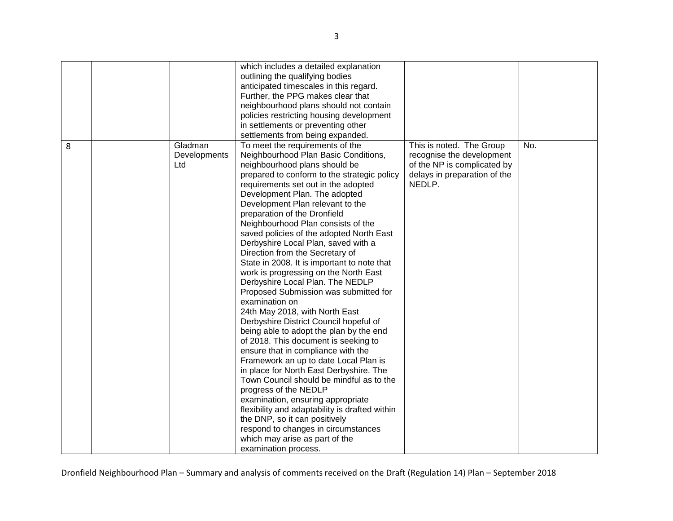|   |              | which includes a detailed explanation          |                              |     |
|---|--------------|------------------------------------------------|------------------------------|-----|
|   |              | outlining the qualifying bodies                |                              |     |
|   |              | anticipated timescales in this regard.         |                              |     |
|   |              |                                                |                              |     |
|   |              | Further, the PPG makes clear that              |                              |     |
|   |              | neighbourhood plans should not contain         |                              |     |
|   |              | policies restricting housing development       |                              |     |
|   |              | in settlements or preventing other             |                              |     |
|   |              | settlements from being expanded.               |                              |     |
| 8 | Gladman      | To meet the requirements of the                | This is noted. The Group     | No. |
|   | Developments | Neighbourhood Plan Basic Conditions,           | recognise the development    |     |
|   | Ltd          | neighbourhood plans should be                  | of the NP is complicated by  |     |
|   |              | prepared to conform to the strategic policy    | delays in preparation of the |     |
|   |              | requirements set out in the adopted            | NEDLP.                       |     |
|   |              | Development Plan. The adopted                  |                              |     |
|   |              | Development Plan relevant to the               |                              |     |
|   |              | preparation of the Dronfield                   |                              |     |
|   |              | Neighbourhood Plan consists of the             |                              |     |
|   |              | saved policies of the adopted North East       |                              |     |
|   |              | Derbyshire Local Plan, saved with a            |                              |     |
|   |              | Direction from the Secretary of                |                              |     |
|   |              | State in 2008. It is important to note that    |                              |     |
|   |              | work is progressing on the North East          |                              |     |
|   |              | Derbyshire Local Plan. The NEDLP               |                              |     |
|   |              | Proposed Submission was submitted for          |                              |     |
|   |              | examination on                                 |                              |     |
|   |              |                                                |                              |     |
|   |              | 24th May 2018, with North East                 |                              |     |
|   |              | Derbyshire District Council hopeful of         |                              |     |
|   |              | being able to adopt the plan by the end        |                              |     |
|   |              | of 2018. This document is seeking to           |                              |     |
|   |              | ensure that in compliance with the             |                              |     |
|   |              | Framework an up to date Local Plan is          |                              |     |
|   |              | in place for North East Derbyshire. The        |                              |     |
|   |              | Town Council should be mindful as to the       |                              |     |
|   |              | progress of the NEDLP                          |                              |     |
|   |              | examination, ensuring appropriate              |                              |     |
|   |              | flexibility and adaptability is drafted within |                              |     |
|   |              | the DNP, so it can positively                  |                              |     |
|   |              | respond to changes in circumstances            |                              |     |
|   |              | which may arise as part of the                 |                              |     |
|   |              | examination process.                           |                              |     |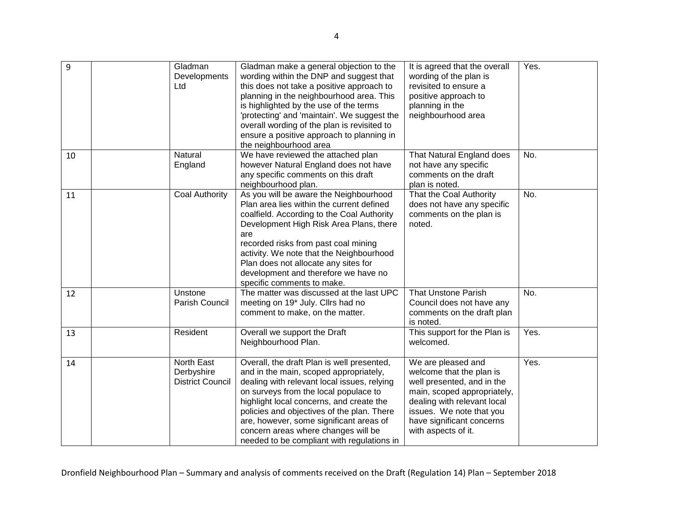| 9  | Gladman<br>Developments<br>Ltd                      | Gladman make a general objection to the<br>wording within the DNP and suggest that<br>this does not take a positive approach to<br>planning in the neighbourhood area. This<br>is highlighted by the use of the terms<br>'protecting' and 'maintain'. We suggest the<br>overall wording of the plan is revisited to<br>ensure a positive approach to planning in<br>the neighbourhood area             | It is agreed that the overall<br>wording of the plan is<br>revisited to ensure a<br>positive approach to<br>planning in the<br>neighbourhood area                                                                          | Yes. |
|----|-----------------------------------------------------|--------------------------------------------------------------------------------------------------------------------------------------------------------------------------------------------------------------------------------------------------------------------------------------------------------------------------------------------------------------------------------------------------------|----------------------------------------------------------------------------------------------------------------------------------------------------------------------------------------------------------------------------|------|
| 10 | Natural<br>England                                  | We have reviewed the attached plan<br>however Natural England does not have<br>any specific comments on this draft<br>neighbourhood plan.                                                                                                                                                                                                                                                              | That Natural England does<br>not have any specific<br>comments on the draft<br>plan is noted.                                                                                                                              | No.  |
| 11 | Coal Authority                                      | As you will be aware the Neighbourhood<br>Plan area lies within the current defined<br>coalfield. According to the Coal Authority<br>Development High Risk Area Plans, there<br>are<br>recorded risks from past coal mining<br>activity. We note that the Neighbourhood<br>Plan does not allocate any sites for<br>development and therefore we have no<br>specific comments to make.                  | That the Coal Authority<br>does not have any specific<br>comments on the plan is<br>noted.                                                                                                                                 | No.  |
| 12 | Unstone<br>Parish Council                           | The matter was discussed at the last UPC<br>meeting on 19 <sup>*</sup> July. Cllrs had no<br>comment to make, on the matter.                                                                                                                                                                                                                                                                           | <b>That Unstone Parish</b><br>Council does not have any<br>comments on the draft plan<br>is noted.                                                                                                                         | No.  |
| 13 | Resident                                            | Overall we support the Draft<br>Neighbourhood Plan.                                                                                                                                                                                                                                                                                                                                                    | This support for the Plan is<br>welcomed.                                                                                                                                                                                  | Yes. |
| 14 | North East<br>Derbyshire<br><b>District Council</b> | Overall, the draft Plan is well presented,<br>and in the main, scoped appropriately,<br>dealing with relevant local issues, relying<br>on surveys from the local populace to<br>highlight local concerns, and create the<br>policies and objectives of the plan. There<br>are, however, some significant areas of<br>concern areas where changes will be<br>needed to be compliant with regulations in | We are pleased and<br>welcome that the plan is<br>well presented, and in the<br>main, scoped appropriately,<br>dealing with relevant local<br>issues. We note that you<br>have significant concerns<br>with aspects of it. | Yes. |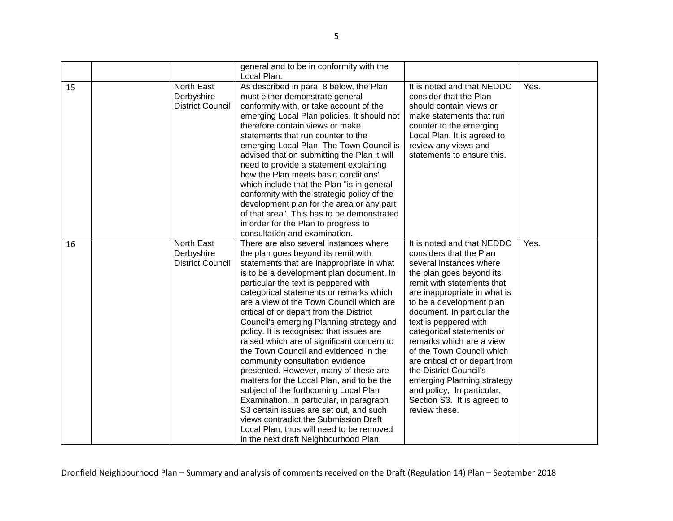|    |                                                     | general and to be in conformity with the<br>Local Plan.                                                                                                                                                                                                                                                                                                                                                                                                                                                                                                                                                                                                                                                                                                                                                                                                                                                                |                                                                                                                                                                                                                                                                                                                                                                                                                                                                                                                              |      |
|----|-----------------------------------------------------|------------------------------------------------------------------------------------------------------------------------------------------------------------------------------------------------------------------------------------------------------------------------------------------------------------------------------------------------------------------------------------------------------------------------------------------------------------------------------------------------------------------------------------------------------------------------------------------------------------------------------------------------------------------------------------------------------------------------------------------------------------------------------------------------------------------------------------------------------------------------------------------------------------------------|------------------------------------------------------------------------------------------------------------------------------------------------------------------------------------------------------------------------------------------------------------------------------------------------------------------------------------------------------------------------------------------------------------------------------------------------------------------------------------------------------------------------------|------|
| 15 | North East<br>Derbyshire<br><b>District Council</b> | As described in para. 8 below, the Plan<br>must either demonstrate general<br>conformity with, or take account of the<br>emerging Local Plan policies. It should not<br>therefore contain views or make<br>statements that run counter to the<br>emerging Local Plan. The Town Council is<br>advised that on submitting the Plan it will<br>need to provide a statement explaining<br>how the Plan meets basic conditions'<br>which include that the Plan "is in general<br>conformity with the strategic policy of the<br>development plan for the area or any part<br>of that area". This has to be demonstrated<br>in order for the Plan to progress to<br>consultation and examination.                                                                                                                                                                                                                            | It is noted and that NEDDC<br>consider that the Plan<br>should contain views or<br>make statements that run<br>counter to the emerging<br>Local Plan. It is agreed to<br>review any views and<br>statements to ensure this.                                                                                                                                                                                                                                                                                                  | Yes. |
| 16 | North East<br>Derbyshire<br><b>District Council</b> | There are also several instances where<br>the plan goes beyond its remit with<br>statements that are inappropriate in what<br>is to be a development plan document. In<br>particular the text is peppered with<br>categorical statements or remarks which<br>are a view of the Town Council which are<br>critical of or depart from the District<br>Council's emerging Planning strategy and<br>policy. It is recognised that issues are<br>raised which are of significant concern to<br>the Town Council and evidenced in the<br>community consultation evidence<br>presented. However, many of these are<br>matters for the Local Plan, and to be the<br>subject of the forthcoming Local Plan<br>Examination. In particular, in paragraph<br>S3 certain issues are set out, and such<br>views contradict the Submission Draft<br>Local Plan, thus will need to be removed<br>in the next draft Neighbourhood Plan. | It is noted and that NEDDC<br>considers that the Plan<br>several instances where<br>the plan goes beyond its<br>remit with statements that<br>are inappropriate in what is<br>to be a development plan<br>document. In particular the<br>text is peppered with<br>categorical statements or<br>remarks which are a view<br>of the Town Council which<br>are critical of or depart from<br>the District Council's<br>emerging Planning strategy<br>and policy, In particular,<br>Section S3. It is agreed to<br>review these. | Yes. |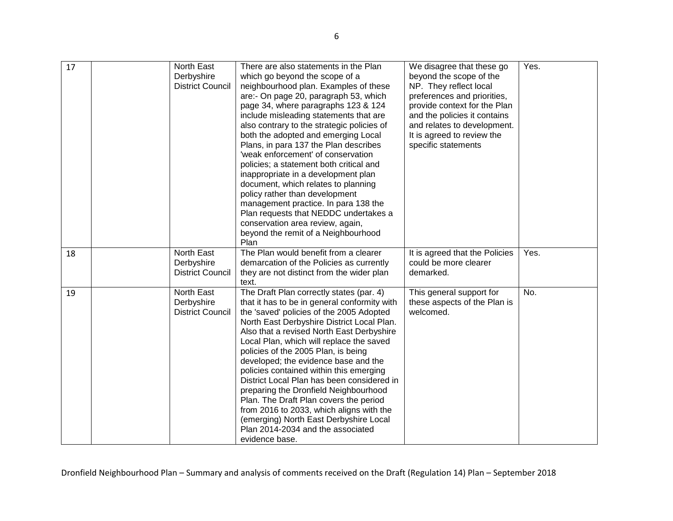| 17 | North East<br>Derbyshire<br><b>District Council</b> | There are also statements in the Plan<br>which go beyond the scope of a<br>neighbourhood plan. Examples of these<br>are:- On page 20, paragraph 53, which<br>page 34, where paragraphs 123 & 124<br>include misleading statements that are<br>also contrary to the strategic policies of<br>both the adopted and emerging Local<br>Plans, in para 137 the Plan describes<br>'weak enforcement' of conservation<br>policies; a statement both critical and<br>inappropriate in a development plan<br>document, which relates to planning<br>policy rather than development<br>management practice. In para 138 the<br>Plan requests that NEDDC undertakes a<br>conservation area review, again,<br>beyond the remit of a Neighbourhood<br>Plan | We disagree that these go<br>beyond the scope of the<br>NP. They reflect local<br>preferences and priorities,<br>provide context for the Plan<br>and the policies it contains<br>and relates to development.<br>It is agreed to review the<br>specific statements | Yes. |
|----|-----------------------------------------------------|-----------------------------------------------------------------------------------------------------------------------------------------------------------------------------------------------------------------------------------------------------------------------------------------------------------------------------------------------------------------------------------------------------------------------------------------------------------------------------------------------------------------------------------------------------------------------------------------------------------------------------------------------------------------------------------------------------------------------------------------------|-------------------------------------------------------------------------------------------------------------------------------------------------------------------------------------------------------------------------------------------------------------------|------|
| 18 | North East<br>Derbyshire<br><b>District Council</b> | The Plan would benefit from a clearer<br>demarcation of the Policies as currently<br>they are not distinct from the wider plan<br>text.                                                                                                                                                                                                                                                                                                                                                                                                                                                                                                                                                                                                       | It is agreed that the Policies<br>could be more clearer<br>demarked.                                                                                                                                                                                              | Yes. |
| 19 | North East<br>Derbyshire<br><b>District Council</b> | The Draft Plan correctly states (par. 4)<br>that it has to be in general conformity with<br>the 'saved' policies of the 2005 Adopted<br>North East Derbyshire District Local Plan.<br>Also that a revised North East Derbyshire<br>Local Plan, which will replace the saved<br>policies of the 2005 Plan, is being<br>developed; the evidence base and the<br>policies contained within this emerging<br>District Local Plan has been considered in<br>preparing the Dronfield Neighbourhood<br>Plan. The Draft Plan covers the period<br>from 2016 to 2033, which aligns with the<br>(emerging) North East Derbyshire Local<br>Plan 2014-2034 and the associated<br>evidence base.                                                           | This general support for<br>these aspects of the Plan is<br>welcomed.                                                                                                                                                                                             | No.  |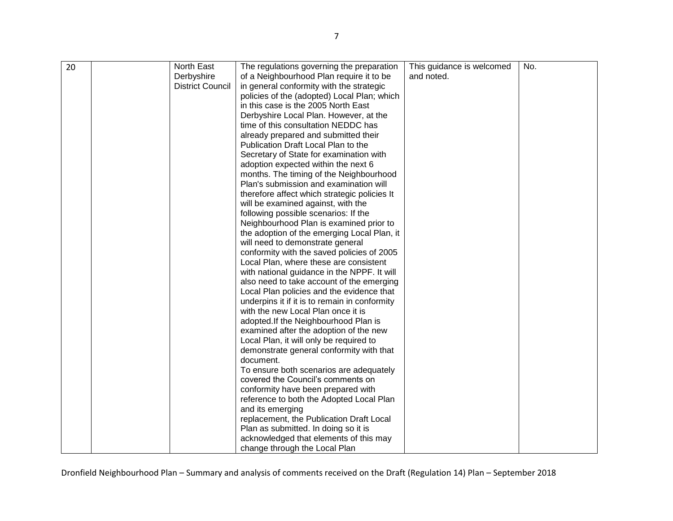| 20 | North East              | The regulations governing the preparation     | This guidance is welcomed | No. |
|----|-------------------------|-----------------------------------------------|---------------------------|-----|
|    | Derbyshire              | of a Neighbourhood Plan require it to be      | and noted.                |     |
|    | <b>District Council</b> | in general conformity with the strategic      |                           |     |
|    |                         | policies of the (adopted) Local Plan; which   |                           |     |
|    |                         | in this case is the 2005 North East           |                           |     |
|    |                         | Derbyshire Local Plan. However, at the        |                           |     |
|    |                         | time of this consultation NEDDC has           |                           |     |
|    |                         | already prepared and submitted their          |                           |     |
|    |                         | Publication Draft Local Plan to the           |                           |     |
|    |                         | Secretary of State for examination with       |                           |     |
|    |                         | adoption expected within the next 6           |                           |     |
|    |                         | months. The timing of the Neighbourhood       |                           |     |
|    |                         | Plan's submission and examination will        |                           |     |
|    |                         | therefore affect which strategic policies It  |                           |     |
|    |                         | will be examined against, with the            |                           |     |
|    |                         | following possible scenarios: If the          |                           |     |
|    |                         | Neighbourhood Plan is examined prior to       |                           |     |
|    |                         | the adoption of the emerging Local Plan, it   |                           |     |
|    |                         | will need to demonstrate general              |                           |     |
|    |                         | conformity with the saved policies of 2005    |                           |     |
|    |                         | Local Plan, where these are consistent        |                           |     |
|    |                         | with national guidance in the NPPF. It will   |                           |     |
|    |                         | also need to take account of the emerging     |                           |     |
|    |                         | Local Plan policies and the evidence that     |                           |     |
|    |                         | underpins it if it is to remain in conformity |                           |     |
|    |                         | with the new Local Plan once it is            |                           |     |
|    |                         | adopted. If the Neighbourhood Plan is         |                           |     |
|    |                         | examined after the adoption of the new        |                           |     |
|    |                         | Local Plan, it will only be required to       |                           |     |
|    |                         | demonstrate general conformity with that      |                           |     |
|    |                         | document.                                     |                           |     |
|    |                         | To ensure both scenarios are adequately       |                           |     |
|    |                         | covered the Council's comments on             |                           |     |
|    |                         | conformity have been prepared with            |                           |     |
|    |                         | reference to both the Adopted Local Plan      |                           |     |
|    |                         | and its emerging                              |                           |     |
|    |                         | replacement, the Publication Draft Local      |                           |     |
|    |                         | Plan as submitted. In doing so it is          |                           |     |
|    |                         | acknowledged that elements of this may        |                           |     |
|    |                         | change through the Local Plan                 |                           |     |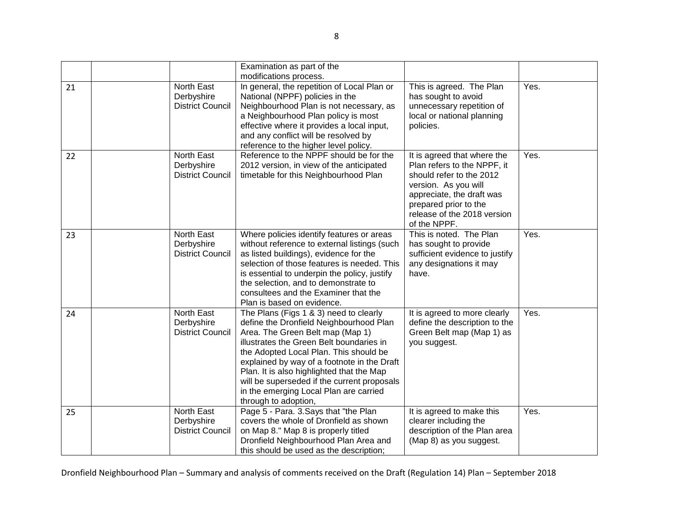|    |                                                            | Examination as part of the                                                                                                                                                                                                                                                                                                                                                                                               |                                                                                                                                                                                                                     |      |
|----|------------------------------------------------------------|--------------------------------------------------------------------------------------------------------------------------------------------------------------------------------------------------------------------------------------------------------------------------------------------------------------------------------------------------------------------------------------------------------------------------|---------------------------------------------------------------------------------------------------------------------------------------------------------------------------------------------------------------------|------|
| 21 | North East<br>Derbyshire<br><b>District Council</b>        | modifications process.<br>In general, the repetition of Local Plan or<br>National (NPPF) policies in the<br>Neighbourhood Plan is not necessary, as<br>a Neighbourhood Plan policy is most<br>effective where it provides a local input,<br>and any conflict will be resolved by<br>reference to the higher level policy.                                                                                                | This is agreed. The Plan<br>has sought to avoid<br>unnecessary repetition of<br>local or national planning<br>policies.                                                                                             | Yes. |
| 22 | North East<br>Derbyshire<br><b>District Council</b>        | Reference to the NPPF should be for the<br>2012 version, in view of the anticipated<br>timetable for this Neighbourhood Plan                                                                                                                                                                                                                                                                                             | It is agreed that where the<br>Plan refers to the NPPF, it<br>should refer to the 2012<br>version. As you will<br>appreciate, the draft was<br>prepared prior to the<br>release of the 2018 version<br>of the NPPF. | Yes. |
| 23 | North East<br>Derbyshire<br><b>District Council</b>        | Where policies identify features or areas<br>without reference to external listings (such<br>as listed buildings), evidence for the<br>selection of those features is needed. This<br>is essential to underpin the policy, justify<br>the selection, and to demonstrate to<br>consultees and the Examiner that the<br>Plan is based on evidence.                                                                         | This is noted. The Plan<br>has sought to provide<br>sufficient evidence to justify<br>any designations it may<br>have.                                                                                              | Yes. |
| 24 | <b>North East</b><br>Derbyshire<br><b>District Council</b> | The Plans (Figs 1 & 3) need to clearly<br>define the Dronfield Neighbourhood Plan<br>Area. The Green Belt map (Map 1)<br>illustrates the Green Belt boundaries in<br>the Adopted Local Plan. This should be<br>explained by way of a footnote in the Draft<br>Plan. It is also highlighted that the Map<br>will be superseded if the current proposals<br>in the emerging Local Plan are carried<br>through to adoption, | It is agreed to more clearly<br>define the description to the<br>Green Belt map (Map 1) as<br>you suggest.                                                                                                          | Yes. |
| 25 | North East<br>Derbyshire<br><b>District Council</b>        | Page 5 - Para. 3. Says that "the Plan<br>covers the whole of Dronfield as shown<br>on Map 8." Map 8 is properly titled<br>Dronfield Neighbourhood Plan Area and<br>this should be used as the description;                                                                                                                                                                                                               | It is agreed to make this<br>clearer including the<br>description of the Plan area<br>(Map 8) as you suggest.                                                                                                       | Yes. |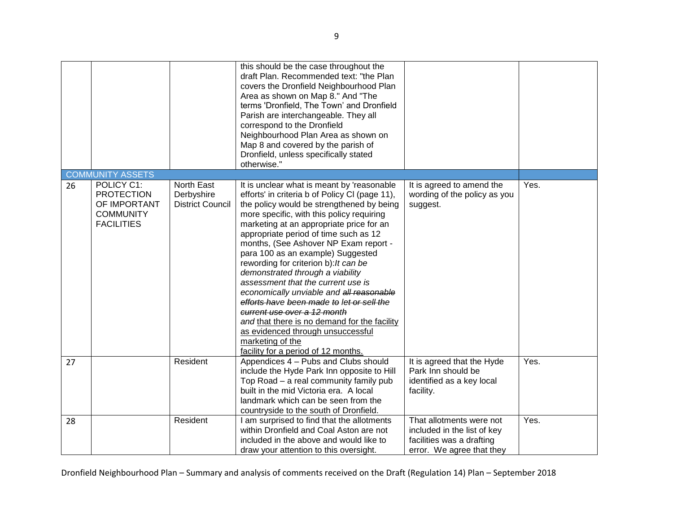|    |                                                                                          |                                                     | this should be the case throughout the<br>draft Plan. Recommended text: "the Plan<br>covers the Dronfield Neighbourhood Plan<br>Area as shown on Map 8." And "The<br>terms 'Dronfield, The Town' and Dronfield<br>Parish are interchangeable. They all<br>correspond to the Dronfield<br>Neighbourhood Plan Area as shown on<br>Map 8 and covered by the parish of<br>Dronfield, unless specifically stated<br>otherwise."                                                                                                                                                                                                                                                                                                                           |                                                                                                                   |      |
|----|------------------------------------------------------------------------------------------|-----------------------------------------------------|------------------------------------------------------------------------------------------------------------------------------------------------------------------------------------------------------------------------------------------------------------------------------------------------------------------------------------------------------------------------------------------------------------------------------------------------------------------------------------------------------------------------------------------------------------------------------------------------------------------------------------------------------------------------------------------------------------------------------------------------------|-------------------------------------------------------------------------------------------------------------------|------|
|    | <b>COMMUNITY ASSETS</b>                                                                  |                                                     |                                                                                                                                                                                                                                                                                                                                                                                                                                                                                                                                                                                                                                                                                                                                                      |                                                                                                                   |      |
| 26 | POLICY C1:<br><b>PROTECTION</b><br>OF IMPORTANT<br><b>COMMUNITY</b><br><b>FACILITIES</b> | North East<br>Derbyshire<br><b>District Council</b> | It is unclear what is meant by 'reasonable<br>efforts' in criteria b of Policy CI (page 11),<br>the policy would be strengthened by being<br>more specific, with this policy requiring<br>marketing at an appropriate price for an<br>appropriate period of time such as 12<br>months, (See Ashover NP Exam report -<br>para 100 as an example) Suggested<br>rewording for criterion b): It can be<br>demonstrated through a viability<br>assessment that the current use is<br>economically unviable and all reasonable<br>efforts have been made to let or sell the<br>current use over a 12 month<br>and that there is no demand for the facility<br>as evidenced through unsuccessful<br>marketing of the<br>facility for a period of 12 months. | It is agreed to amend the<br>wording of the policy as you<br>suggest.                                             | Yes. |
| 27 |                                                                                          | Resident                                            | Appendices 4 - Pubs and Clubs should<br>include the Hyde Park Inn opposite to Hill<br>Top Road - a real community family pub<br>built in the mid Victoria era. A local<br>landmark which can be seen from the<br>countryside to the south of Dronfield.                                                                                                                                                                                                                                                                                                                                                                                                                                                                                              | It is agreed that the Hyde<br>Park Inn should be<br>identified as a key local<br>facility.                        | Yes. |
| 28 |                                                                                          | Resident                                            | I am surprised to find that the allotments<br>within Dronfield and Coal Aston are not<br>included in the above and would like to<br>draw your attention to this oversight.                                                                                                                                                                                                                                                                                                                                                                                                                                                                                                                                                                           | That allotments were not<br>included in the list of key<br>facilities was a drafting<br>error. We agree that they | Yes. |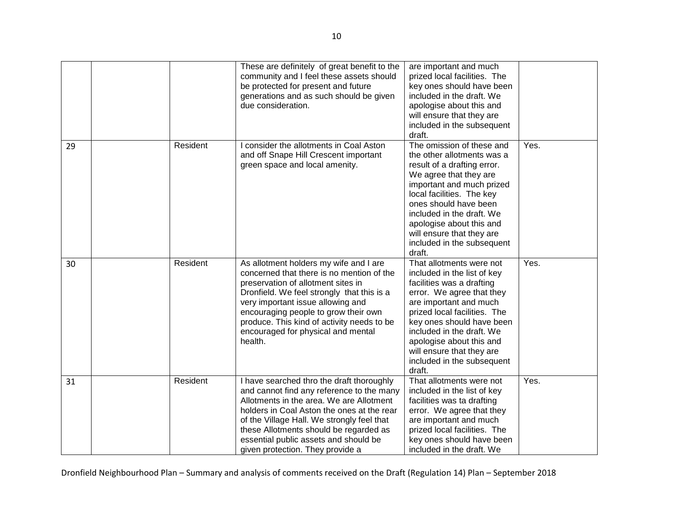|    |          | These are definitely of great benefit to the<br>community and I feel these assets should<br>be protected for present and future<br>generations and as such should be given<br>due consideration.                                                                                                                                                      | are important and much<br>prized local facilities. The<br>key ones should have been<br>included in the draft. We<br>apologise about this and<br>will ensure that they are<br>included in the subsequent<br>draft.                                                                                                                      |      |
|----|----------|-------------------------------------------------------------------------------------------------------------------------------------------------------------------------------------------------------------------------------------------------------------------------------------------------------------------------------------------------------|----------------------------------------------------------------------------------------------------------------------------------------------------------------------------------------------------------------------------------------------------------------------------------------------------------------------------------------|------|
| 29 | Resident | I consider the allotments in Coal Aston<br>and off Snape Hill Crescent important<br>green space and local amenity.                                                                                                                                                                                                                                    | The omission of these and<br>the other allotments was a<br>result of a drafting error.<br>We agree that they are<br>important and much prized<br>local facilities. The key<br>ones should have been<br>included in the draft. We<br>apologise about this and<br>will ensure that they are<br>included in the subsequent<br>draft.      | Yes. |
| 30 | Resident | As allotment holders my wife and I are<br>concerned that there is no mention of the<br>preservation of allotment sites in<br>Dronfield. We feel strongly that this is a<br>very important issue allowing and<br>encouraging people to grow their own<br>produce. This kind of activity needs to be<br>encouraged for physical and mental<br>health.   | That allotments were not<br>included in the list of key<br>facilities was a drafting<br>error. We agree that they<br>are important and much<br>prized local facilities. The<br>key ones should have been<br>included in the draft. We<br>apologise about this and<br>will ensure that they are<br>included in the subsequent<br>draft. | Yes. |
| 31 | Resident | I have searched thro the draft thoroughly<br>and cannot find any reference to the many<br>Allotments in the area. We are Allotment<br>holders in Coal Aston the ones at the rear<br>of the Village Hall. We strongly feel that<br>these Allotments should be regarded as<br>essential public assets and should be<br>given protection. They provide a | That allotments were not<br>included in the list of key<br>facilities was ta drafting<br>error. We agree that they<br>are important and much<br>prized local facilities. The<br>key ones should have been<br>included in the draft. We                                                                                                 | Yes. |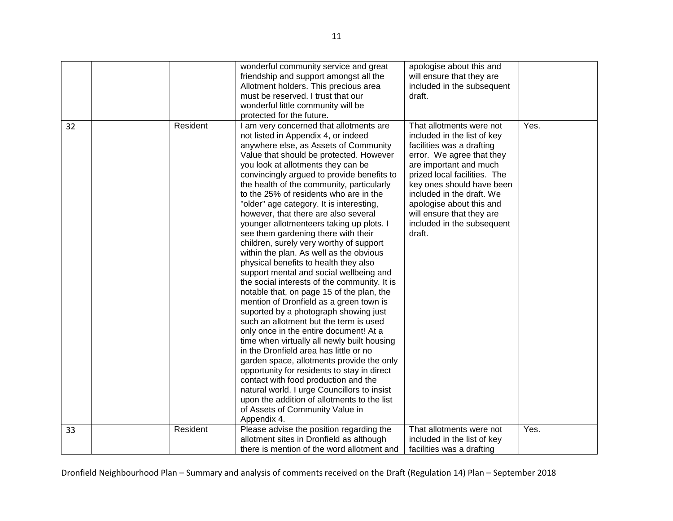|    |          | wonderful community service and great        | apologise about this and     |      |
|----|----------|----------------------------------------------|------------------------------|------|
|    |          | friendship and support amongst all the       | will ensure that they are    |      |
|    |          | Allotment holders. This precious area        | included in the subsequent   |      |
|    |          | must be reserved. I trust that our           | draft.                       |      |
|    |          | wonderful little community will be           |                              |      |
|    |          | protected for the future.                    |                              |      |
| 32 | Resident | I am very concerned that allotments are      | That allotments were not     | Yes. |
|    |          | not listed in Appendix 4, or indeed          | included in the list of key  |      |
|    |          | anywhere else, as Assets of Community        | facilities was a drafting    |      |
|    |          | Value that should be protected. However      | error. We agree that they    |      |
|    |          | you look at allotments they can be           | are important and much       |      |
|    |          | convincingly argued to provide benefits to   | prized local facilities. The |      |
|    |          | the health of the community, particularly    | key ones should have been    |      |
|    |          | to the 25% of residents who are in the       | included in the draft. We    |      |
|    |          | "older" age category. It is interesting,     | apologise about this and     |      |
|    |          | however, that there are also several         | will ensure that they are    |      |
|    |          | younger allotmenteers taking up plots. I     | included in the subsequent   |      |
|    |          | see them gardening there with their          | draft.                       |      |
|    |          | children, surely very worthy of support      |                              |      |
|    |          | within the plan. As well as the obvious      |                              |      |
|    |          | physical benefits to health they also        |                              |      |
|    |          | support mental and social wellbeing and      |                              |      |
|    |          | the social interests of the community. It is |                              |      |
|    |          | notable that, on page 15 of the plan, the    |                              |      |
|    |          | mention of Dronfield as a green town is      |                              |      |
|    |          | suported by a photograph showing just        |                              |      |
|    |          | such an allotment but the term is used       |                              |      |
|    |          | only once in the entire document! At a       |                              |      |
|    |          | time when virtually all newly built housing  |                              |      |
|    |          | in the Dronfield area has little or no       |                              |      |
|    |          | garden space, allotments provide the only    |                              |      |
|    |          | opportunity for residents to stay in direct  |                              |      |
|    |          | contact with food production and the         |                              |      |
|    |          | natural world. I urge Councillors to insist  |                              |      |
|    |          | upon the addition of allotments to the list  |                              |      |
|    |          | of Assets of Community Value in              |                              |      |
|    |          | Appendix 4.                                  |                              |      |
| 33 | Resident | Please advise the position regarding the     | That allotments were not     | Yes. |
|    |          | allotment sites in Dronfield as although     | included in the list of key  |      |
|    |          | there is mention of the word allotment and   | facilities was a drafting    |      |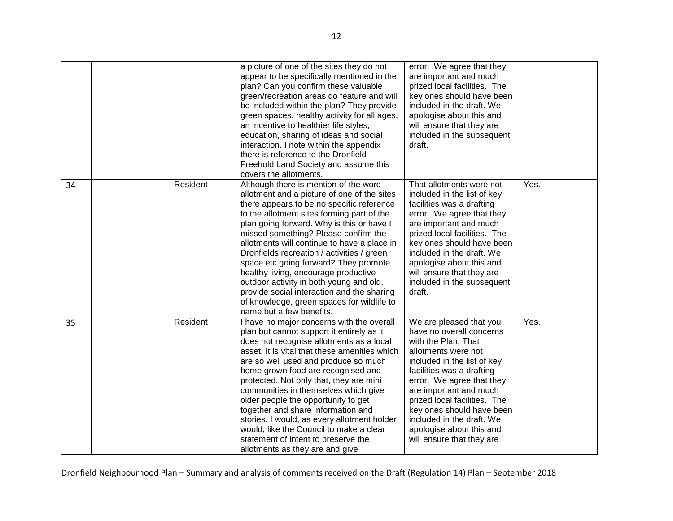|    |          | a picture of one of the sites they do not<br>appear to be specifically mentioned in the<br>plan? Can you confirm these valuable<br>green/recreation areas do feature and will<br>be included within the plan? They provide<br>green spaces, healthy activity for all ages,<br>an incentive to healthier life styles,<br>education, sharing of ideas and social<br>interaction. I note within the appendix<br>there is reference to the Dronfield<br>Freehold Land Society and assume this<br>covers the allotments.                                                                                                   | error. We agree that they<br>are important and much<br>prized local facilities. The<br>key ones should have been<br>included in the draft. We<br>apologise about this and<br>will ensure that they are<br>included in the subsequent<br>draft.                                                                                                                          |      |
|----|----------|-----------------------------------------------------------------------------------------------------------------------------------------------------------------------------------------------------------------------------------------------------------------------------------------------------------------------------------------------------------------------------------------------------------------------------------------------------------------------------------------------------------------------------------------------------------------------------------------------------------------------|-------------------------------------------------------------------------------------------------------------------------------------------------------------------------------------------------------------------------------------------------------------------------------------------------------------------------------------------------------------------------|------|
| 34 | Resident | Although there is mention of the word<br>allotment and a picture of one of the sites<br>there appears to be no specific reference<br>to the allotment sites forming part of the<br>plan going forward. Why is this or have I<br>missed something? Please confirm the<br>allotments will continue to have a place in<br>Dronfields recreation / activities / green<br>space etc going forward? They promote<br>healthy living, encourage productive<br>outdoor activity in both young and old,<br>provide social interaction and the sharing<br>of knowledge, green spaces for wildlife to<br>name but a few benefits. | That allotments were not<br>included in the list of key<br>facilities was a drafting<br>error. We agree that they<br>are important and much<br>prized local facilities. The<br>key ones should have been<br>included in the draft. We<br>apologise about this and<br>will ensure that they are<br>included in the subsequent<br>draft.                                  | Yes. |
| 35 | Resident | I have no major concerns with the overall<br>plan but cannot support it entirely as it<br>does not recognise allotments as a local<br>asset. It is vital that these amenities which<br>are so well used and produce so much<br>home grown food are recognised and<br>protected. Not only that, they are mini<br>communities in themselves which give<br>older people the opportunity to get<br>together and share information and<br>stories. I would, as every allotment holder<br>would, like the Council to make a clear<br>statement of intent to preserve the<br>allotments as they are and give                 | We are pleased that you<br>have no overall concerns<br>with the Plan. That<br>allotments were not<br>included in the list of key<br>facilities was a drafting<br>error. We agree that they<br>are important and much<br>prized local facilities. The<br>key ones should have been<br>included in the draft. We<br>apologise about this and<br>will ensure that they are | Yes. |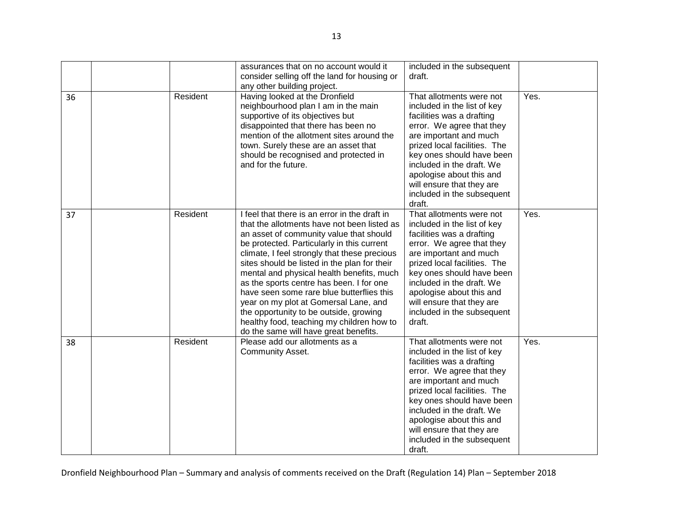|    |          | assurances that on no account would it<br>consider selling off the land for housing or<br>any other building project.                                                                                                                                                                                                                                                                                                                                                                                                                                                                                | included in the subsequent<br>draft.                                                                                                                                                                                                                                                                                                   |      |
|----|----------|------------------------------------------------------------------------------------------------------------------------------------------------------------------------------------------------------------------------------------------------------------------------------------------------------------------------------------------------------------------------------------------------------------------------------------------------------------------------------------------------------------------------------------------------------------------------------------------------------|----------------------------------------------------------------------------------------------------------------------------------------------------------------------------------------------------------------------------------------------------------------------------------------------------------------------------------------|------|
| 36 | Resident | Having looked at the Dronfield<br>neighbourhood plan I am in the main<br>supportive of its objectives but<br>disappointed that there has been no<br>mention of the allotment sites around the<br>town. Surely these are an asset that<br>should be recognised and protected in<br>and for the future.                                                                                                                                                                                                                                                                                                | That allotments were not<br>included in the list of key<br>facilities was a drafting<br>error. We agree that they<br>are important and much<br>prized local facilities. The<br>key ones should have been<br>included in the draft. We<br>apologise about this and<br>will ensure that they are<br>included in the subsequent<br>draft. | Yes. |
| 37 | Resident | I feel that there is an error in the draft in<br>that the allotments have not been listed as<br>an asset of community value that should<br>be protected. Particularly in this current<br>climate, I feel strongly that these precious<br>sites should be listed in the plan for their<br>mental and physical health benefits, much<br>as the sports centre has been. I for one<br>have seen some rare blue butterflies this<br>year on my plot at Gomersal Lane, and<br>the opportunity to be outside, growing<br>healthy food, teaching my children how to<br>do the same will have great benefits. | That allotments were not<br>included in the list of key<br>facilities was a drafting<br>error. We agree that they<br>are important and much<br>prized local facilities. The<br>key ones should have been<br>included in the draft. We<br>apologise about this and<br>will ensure that they are<br>included in the subsequent<br>draft. | Yes. |
| 38 | Resident | Please add our allotments as a<br>Community Asset.                                                                                                                                                                                                                                                                                                                                                                                                                                                                                                                                                   | That allotments were not<br>included in the list of key<br>facilities was a drafting<br>error. We agree that they<br>are important and much<br>prized local facilities. The<br>key ones should have been<br>included in the draft. We<br>apologise about this and<br>will ensure that they are<br>included in the subsequent<br>draft. | Yes. |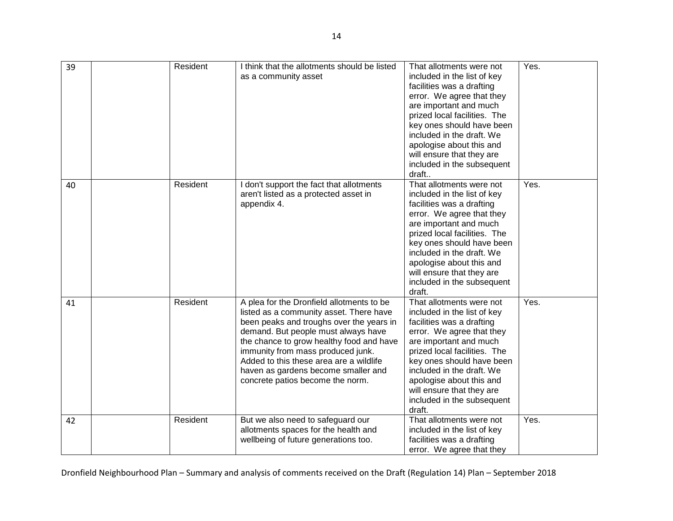| 39 | Resident | I think that the allotments should be listed<br>as a community asset                                                                                                                                                                                                                                                                                                           | That allotments were not<br>included in the list of key<br>facilities was a drafting<br>error. We agree that they<br>are important and much<br>prized local facilities. The<br>key ones should have been<br>included in the draft. We<br>apologise about this and<br>will ensure that they are<br>included in the subsequent<br>draft  | Yes. |
|----|----------|--------------------------------------------------------------------------------------------------------------------------------------------------------------------------------------------------------------------------------------------------------------------------------------------------------------------------------------------------------------------------------|----------------------------------------------------------------------------------------------------------------------------------------------------------------------------------------------------------------------------------------------------------------------------------------------------------------------------------------|------|
| 40 | Resident | I don't support the fact that allotments<br>aren't listed as a protected asset in<br>appendix 4.                                                                                                                                                                                                                                                                               | That allotments were not<br>included in the list of key<br>facilities was a drafting<br>error. We agree that they<br>are important and much<br>prized local facilities. The<br>key ones should have been<br>included in the draft. We<br>apologise about this and<br>will ensure that they are<br>included in the subsequent<br>draft. | Yes. |
| 41 | Resident | A plea for the Dronfield allotments to be<br>listed as a community asset. There have<br>been peaks and troughs over the years in<br>demand. But people must always have<br>the chance to grow healthy food and have<br>immunity from mass produced junk.<br>Added to this these area are a wildlife<br>haven as gardens become smaller and<br>concrete patios become the norm. | That allotments were not<br>included in the list of key<br>facilities was a drafting<br>error. We agree that they<br>are important and much<br>prized local facilities. The<br>key ones should have been<br>included in the draft. We<br>apologise about this and<br>will ensure that they are<br>included in the subsequent<br>draft. | Yes. |
| 42 | Resident | But we also need to safeguard our<br>allotments spaces for the health and<br>wellbeing of future generations too.                                                                                                                                                                                                                                                              | That allotments were not<br>included in the list of key<br>facilities was a drafting<br>error. We agree that they                                                                                                                                                                                                                      | Yes. |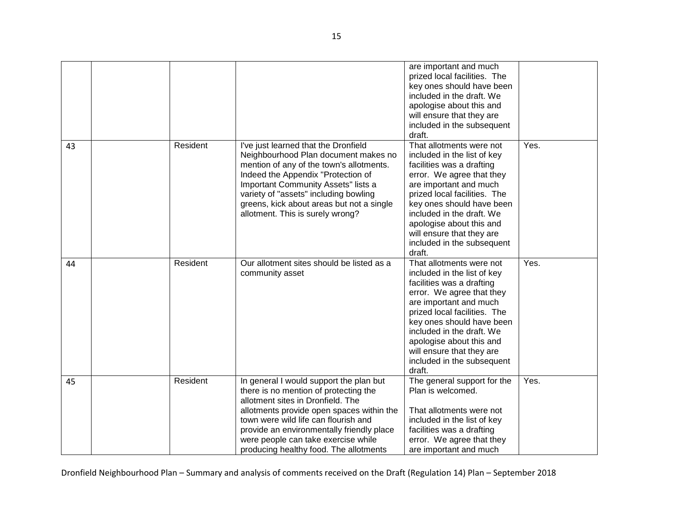|    |          |                                                                                                                                                                                                                                                                                                                                          | are important and much<br>prized local facilities. The<br>key ones should have been<br>included in the draft. We<br>apologise about this and<br>will ensure that they are<br>included in the subsequent<br>draft.                                                                                                                      |      |
|----|----------|------------------------------------------------------------------------------------------------------------------------------------------------------------------------------------------------------------------------------------------------------------------------------------------------------------------------------------------|----------------------------------------------------------------------------------------------------------------------------------------------------------------------------------------------------------------------------------------------------------------------------------------------------------------------------------------|------|
| 43 | Resident | I've just learned that the Dronfield<br>Neighbourhood Plan document makes no<br>mention of any of the town's allotments.<br>Indeed the Appendix "Protection of<br>Important Community Assets" lists a<br>variety of "assets" including bowling<br>greens, kick about areas but not a single<br>allotment. This is surely wrong?          | That allotments were not<br>included in the list of key<br>facilities was a drafting<br>error. We agree that they<br>are important and much<br>prized local facilities. The<br>key ones should have been<br>included in the draft. We<br>apologise about this and<br>will ensure that they are<br>included in the subsequent<br>draft. | Yes. |
| 44 | Resident | Our allotment sites should be listed as a<br>community asset                                                                                                                                                                                                                                                                             | That allotments were not<br>included in the list of key<br>facilities was a drafting<br>error. We agree that they<br>are important and much<br>prized local facilities. The<br>key ones should have been<br>included in the draft. We<br>apologise about this and<br>will ensure that they are<br>included in the subsequent<br>draft. | Yes. |
| 45 | Resident | In general I would support the plan but<br>there is no mention of protecting the<br>allotment sites in Dronfield. The<br>allotments provide open spaces within the<br>town were wild life can flourish and<br>provide an environmentally friendly place<br>were people can take exercise while<br>producing healthy food. The allotments | The general support for the<br>Plan is welcomed.<br>That allotments were not<br>included in the list of key<br>facilities was a drafting<br>error. We agree that they<br>are important and much                                                                                                                                        | Yes. |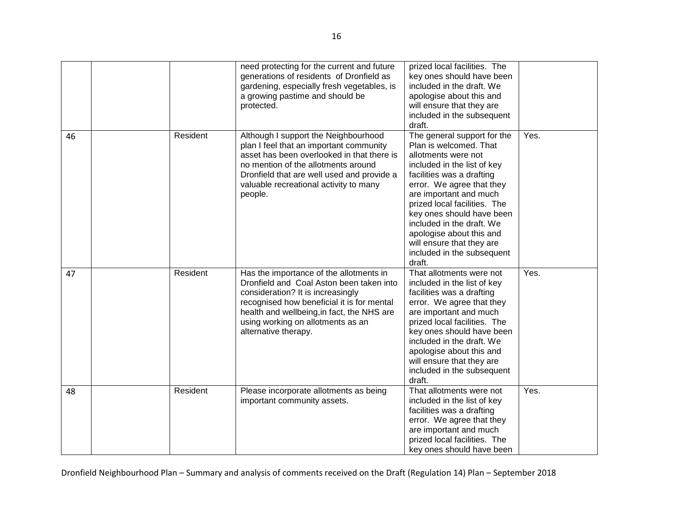|    |          | need protecting for the current and future<br>generations of residents of Dronfield as<br>gardening, especially fresh vegetables, is<br>a growing pastime and should be<br>protected.                                                                                             | prized local facilities. The<br>key ones should have been<br>included in the draft. We<br>apologise about this and<br>will ensure that they are<br>included in the subsequent<br>draft.                                                                                                                                                                                                    |      |
|----|----------|-----------------------------------------------------------------------------------------------------------------------------------------------------------------------------------------------------------------------------------------------------------------------------------|--------------------------------------------------------------------------------------------------------------------------------------------------------------------------------------------------------------------------------------------------------------------------------------------------------------------------------------------------------------------------------------------|------|
| 46 | Resident | Although I support the Neighbourhood<br>plan I feel that an important community<br>asset has been overlooked in that there is<br>no mention of the allotments around<br>Dronfield that are well used and provide a<br>valuable recreational activity to many<br>people.           | The general support for the<br>Plan is welcomed. That<br>allotments were not<br>included in the list of key<br>facilities was a drafting<br>error. We agree that they<br>are important and much<br>prized local facilities. The<br>key ones should have been<br>included in the draft. We<br>apologise about this and<br>will ensure that they are<br>included in the subsequent<br>draft. | Yes. |
| 47 | Resident | Has the importance of the allotments in<br>Dronfield and Coal Aston been taken into<br>consideration? It is increasingly<br>recognised how beneficial it is for mental<br>health and wellbeing, in fact, the NHS are<br>using working on allotments as an<br>alternative therapy. | That allotments were not<br>included in the list of key<br>facilities was a drafting<br>error. We agree that they<br>are important and much<br>prized local facilities. The<br>key ones should have been<br>included in the draft. We<br>apologise about this and<br>will ensure that they are<br>included in the subsequent<br>draft.                                                     | Yes. |
| 48 | Resident | Please incorporate allotments as being<br>important community assets.                                                                                                                                                                                                             | That allotments were not<br>included in the list of key<br>facilities was a drafting<br>error. We agree that they<br>are important and much<br>prized local facilities. The<br>key ones should have been                                                                                                                                                                                   | Yes. |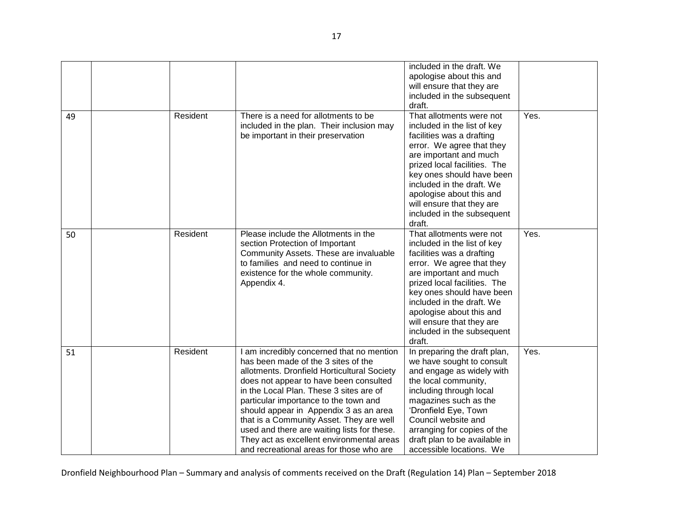|    |          |                                                                                                                                                                                                                                                                                                                                                                                                                                                                                             | included in the draft. We<br>apologise about this and<br>will ensure that they are<br>included in the subsequent<br>draft.                                                                                                                                                                                                             |      |
|----|----------|---------------------------------------------------------------------------------------------------------------------------------------------------------------------------------------------------------------------------------------------------------------------------------------------------------------------------------------------------------------------------------------------------------------------------------------------------------------------------------------------|----------------------------------------------------------------------------------------------------------------------------------------------------------------------------------------------------------------------------------------------------------------------------------------------------------------------------------------|------|
| 49 | Resident | There is a need for allotments to be<br>included in the plan. Their inclusion may<br>be important in their preservation                                                                                                                                                                                                                                                                                                                                                                     | That allotments were not<br>included in the list of key<br>facilities was a drafting<br>error. We agree that they<br>are important and much<br>prized local facilities. The<br>key ones should have been<br>included in the draft. We<br>apologise about this and<br>will ensure that they are<br>included in the subsequent<br>draft. | Yes. |
| 50 | Resident | Please include the Allotments in the<br>section Protection of Important<br>Community Assets. These are invaluable<br>to families and need to continue in<br>existence for the whole community.<br>Appendix 4.                                                                                                                                                                                                                                                                               | That allotments were not<br>included in the list of key<br>facilities was a drafting<br>error. We agree that they<br>are important and much<br>prized local facilities. The<br>key ones should have been<br>included in the draft. We<br>apologise about this and<br>will ensure that they are<br>included in the subsequent<br>draft. | Yes. |
| 51 | Resident | I am incredibly concerned that no mention<br>has been made of the 3 sites of the<br>allotments. Dronfield Horticultural Society<br>does not appear to have been consulted<br>in the Local Plan. These 3 sites are of<br>particular importance to the town and<br>should appear in Appendix 3 as an area<br>that is a Community Asset. They are well<br>used and there are waiting lists for these.<br>They act as excellent environmental areas<br>and recreational areas for those who are | In preparing the draft plan,<br>we have sought to consult<br>and engage as widely with<br>the local community,<br>including through local<br>magazines such as the<br>'Dronfield Eye, Town<br>Council website and<br>arranging for copies of the<br>draft plan to be available in<br>accessible locations. We                          | Yes. |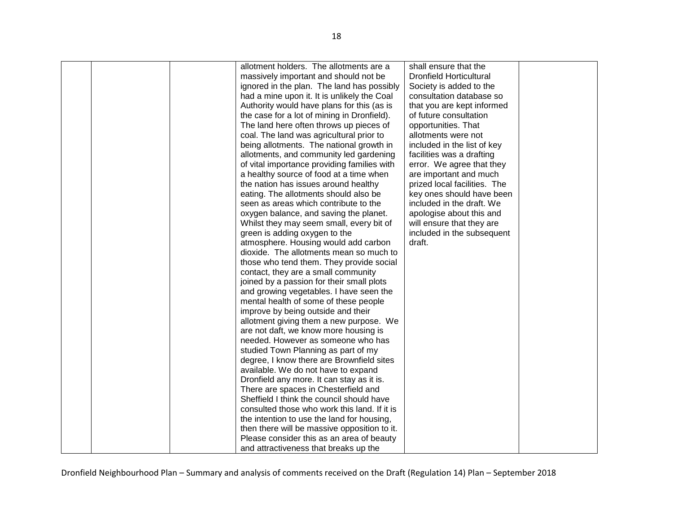|  | allotment holders. The allotments are a      | shall ensure that the          |  |
|--|----------------------------------------------|--------------------------------|--|
|  | massively important and should not be        | <b>Dronfield Horticultural</b> |  |
|  | ignored in the plan. The land has possibly   | Society is added to the        |  |
|  | had a mine upon it. It is unlikely the Coal  | consultation database so       |  |
|  | Authority would have plans for this (as is   | that you are kept informed     |  |
|  | the case for a lot of mining in Dronfield).  | of future consultation         |  |
|  | The land here often throws up pieces of      | opportunities. That            |  |
|  | coal. The land was agricultural prior to     | allotments were not            |  |
|  | being allotments. The national growth in     | included in the list of key    |  |
|  | allotments, and community led gardening      | facilities was a drafting      |  |
|  | of vital importance providing families with  | error. We agree that they      |  |
|  | a healthy source of food at a time when      | are important and much         |  |
|  | the nation has issues around healthy         | prized local facilities. The   |  |
|  | eating. The allotments should also be        | key ones should have been      |  |
|  | seen as areas which contribute to the        | included in the draft. We      |  |
|  |                                              | apologise about this and       |  |
|  | oxygen balance, and saving the planet.       |                                |  |
|  | Whilst they may seem small, every bit of     | will ensure that they are      |  |
|  | green is adding oxygen to the                | included in the subsequent     |  |
|  | atmosphere. Housing would add carbon         | draft.                         |  |
|  | dioxide. The allotments mean so much to      |                                |  |
|  | those who tend them. They provide social     |                                |  |
|  | contact, they are a small community          |                                |  |
|  | joined by a passion for their small plots    |                                |  |
|  | and growing vegetables. I have seen the      |                                |  |
|  | mental health of some of these people        |                                |  |
|  | improve by being outside and their           |                                |  |
|  | allotment giving them a new purpose. We      |                                |  |
|  | are not daft, we know more housing is        |                                |  |
|  | needed. However as someone who has           |                                |  |
|  | studied Town Planning as part of my          |                                |  |
|  | degree, I know there are Brownfield sites    |                                |  |
|  | available. We do not have to expand          |                                |  |
|  | Dronfield any more. It can stay as it is.    |                                |  |
|  | There are spaces in Chesterfield and         |                                |  |
|  | Sheffield I think the council should have    |                                |  |
|  | consulted those who work this land. If it is |                                |  |
|  | the intention to use the land for housing,   |                                |  |
|  | then there will be massive opposition to it. |                                |  |
|  | Please consider this as an area of beauty    |                                |  |
|  | and attractiveness that breaks up the        |                                |  |
|  |                                              |                                |  |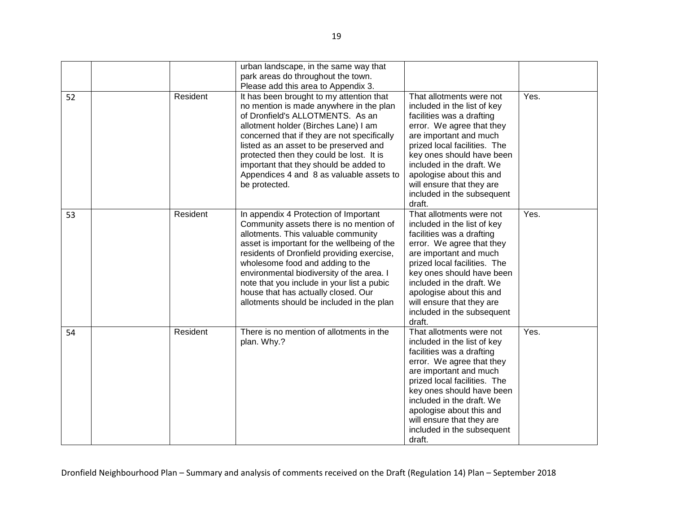|    |          | urban landscape, in the same way that<br>park areas do throughout the town.<br>Please add this area to Appendix 3.                                                                                                                                                                                                                                                                                                                      |                                                                                                                                                                                                                                                                                                                                        |      |
|----|----------|-----------------------------------------------------------------------------------------------------------------------------------------------------------------------------------------------------------------------------------------------------------------------------------------------------------------------------------------------------------------------------------------------------------------------------------------|----------------------------------------------------------------------------------------------------------------------------------------------------------------------------------------------------------------------------------------------------------------------------------------------------------------------------------------|------|
| 52 | Resident | It has been brought to my attention that<br>no mention is made anywhere in the plan<br>of Dronfield's ALLOTMENTS. As an<br>allotment holder (Birches Lane) I am<br>concerned that if they are not specifically<br>listed as an asset to be preserved and<br>protected then they could be lost. It is<br>important that they should be added to<br>Appendices 4 and 8 as valuable assets to<br>be protected.                             | That allotments were not<br>included in the list of key<br>facilities was a drafting<br>error. We agree that they<br>are important and much<br>prized local facilities. The<br>key ones should have been<br>included in the draft. We<br>apologise about this and<br>will ensure that they are<br>included in the subsequent<br>draft. | Yes. |
| 53 | Resident | In appendix 4 Protection of Important<br>Community assets there is no mention of<br>allotments. This valuable community<br>asset is important for the wellbeing of the<br>residents of Dronfield providing exercise,<br>wholesome food and adding to the<br>environmental biodiversity of the area. I<br>note that you include in your list a pubic<br>house that has actually closed. Our<br>allotments should be included in the plan | That allotments were not<br>included in the list of key<br>facilities was a drafting<br>error. We agree that they<br>are important and much<br>prized local facilities. The<br>key ones should have been<br>included in the draft. We<br>apologise about this and<br>will ensure that they are<br>included in the subsequent<br>draft. | Yes. |
| 54 | Resident | There is no mention of allotments in the<br>plan. Why.?                                                                                                                                                                                                                                                                                                                                                                                 | That allotments were not<br>included in the list of key<br>facilities was a drafting<br>error. We agree that they<br>are important and much<br>prized local facilities. The<br>key ones should have been<br>included in the draft. We<br>apologise about this and<br>will ensure that they are<br>included in the subsequent<br>draft. | Yes. |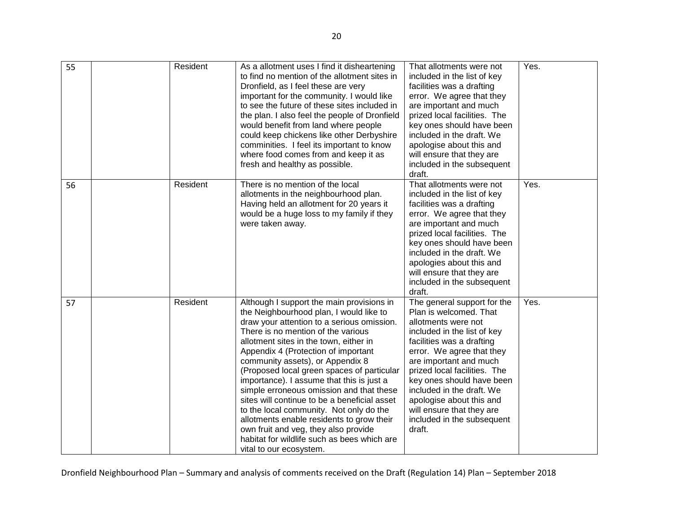| 55 | Resident | As a allotment uses I find it disheartening<br>to find no mention of the allotment sites in<br>Dronfield, as I feel these are very<br>important for the community. I would like<br>to see the future of these sites included in<br>the plan. I also feel the people of Dronfield<br>would benefit from land where people<br>could keep chickens like other Derbyshire<br>comminities. I feel its important to know<br>where food comes from and keep it as<br>fresh and healthy as possible.                                                                                                                                                                                                   | That allotments were not<br>included in the list of key<br>facilities was a drafting<br>error. We agree that they<br>are important and much<br>prized local facilities. The<br>key ones should have been<br>included in the draft. We<br>apologise about this and<br>will ensure that they are<br>included in the subsequent<br>draft.                                                     | Yes. |
|----|----------|------------------------------------------------------------------------------------------------------------------------------------------------------------------------------------------------------------------------------------------------------------------------------------------------------------------------------------------------------------------------------------------------------------------------------------------------------------------------------------------------------------------------------------------------------------------------------------------------------------------------------------------------------------------------------------------------|--------------------------------------------------------------------------------------------------------------------------------------------------------------------------------------------------------------------------------------------------------------------------------------------------------------------------------------------------------------------------------------------|------|
| 56 | Resident | There is no mention of the local<br>allotments in the neighbourhood plan.<br>Having held an allotment for 20 years it<br>would be a huge loss to my family if they<br>were taken away.                                                                                                                                                                                                                                                                                                                                                                                                                                                                                                         | That allotments were not<br>included in the list of key<br>facilities was a drafting<br>error. We agree that they<br>are important and much<br>prized local facilities. The<br>key ones should have been<br>included in the draft. We<br>apologies about this and<br>will ensure that they are<br>included in the subsequent<br>draft.                                                     | Yes. |
| 57 | Resident | Although I support the main provisions in<br>the Neighbourhood plan, I would like to<br>draw your attention to a serious omission.<br>There is no mention of the various<br>allotment sites in the town, either in<br>Appendix 4 (Protection of important<br>community assets), or Appendix 8<br>(Proposed local green spaces of particular<br>importance). I assume that this is just a<br>simple erroneous omission and that these<br>sites will continue to be a beneficial asset<br>to the local community. Not only do the<br>allotments enable residents to grow their<br>own fruit and veg, they also provide<br>habitat for wildlife such as bees which are<br>vital to our ecosystem. | The general support for the<br>Plan is welcomed. That<br>allotments were not<br>included in the list of key<br>facilities was a drafting<br>error. We agree that they<br>are important and much<br>prized local facilities. The<br>key ones should have been<br>included in the draft. We<br>apologise about this and<br>will ensure that they are<br>included in the subsequent<br>draft. | Yes. |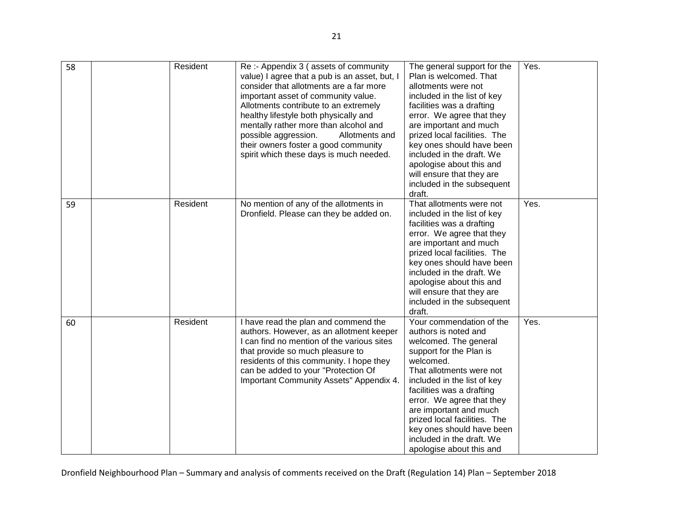| 58 | Resident | Re :- Appendix 3 (assets of community<br>value) I agree that a pub is an asset, but, I<br>consider that allotments are a far more<br>important asset of community value.<br>Allotments contribute to an extremely<br>healthy lifestyle both physically and<br>mentally rather more than alcohol and<br>possible aggression.<br>Allotments and<br>their owners foster a good community<br>spirit which these days is much needed. | The general support for the<br>Plan is welcomed. That<br>allotments were not<br>included in the list of key<br>facilities was a drafting<br>error. We agree that they<br>are important and much<br>prized local facilities. The<br>key ones should have been<br>included in the draft. We<br>apologise about this and<br>will ensure that they are<br>included in the subsequent<br>draft. | Yes. |
|----|----------|----------------------------------------------------------------------------------------------------------------------------------------------------------------------------------------------------------------------------------------------------------------------------------------------------------------------------------------------------------------------------------------------------------------------------------|--------------------------------------------------------------------------------------------------------------------------------------------------------------------------------------------------------------------------------------------------------------------------------------------------------------------------------------------------------------------------------------------|------|
| 59 | Resident | No mention of any of the allotments in<br>Dronfield. Please can they be added on.                                                                                                                                                                                                                                                                                                                                                | That allotments were not<br>included in the list of key<br>facilities was a drafting<br>error. We agree that they<br>are important and much<br>prized local facilities. The<br>key ones should have been<br>included in the draft. We<br>apologise about this and<br>will ensure that they are<br>included in the subsequent<br>draft.                                                     | Yes. |
| 60 | Resident | I have read the plan and commend the<br>authors. However, as an allotment keeper<br>I can find no mention of the various sites<br>that provide so much pleasure to<br>residents of this community. I hope they<br>can be added to your "Protection Of<br>Important Community Assets" Appendix 4.                                                                                                                                 | Your commendation of the<br>authors is noted and<br>welcomed. The general<br>support for the Plan is<br>welcomed.<br>That allotments were not<br>included in the list of key<br>facilities was a drafting<br>error. We agree that they<br>are important and much<br>prized local facilities. The<br>key ones should have been<br>included in the draft. We<br>apologise about this and     | Yes. |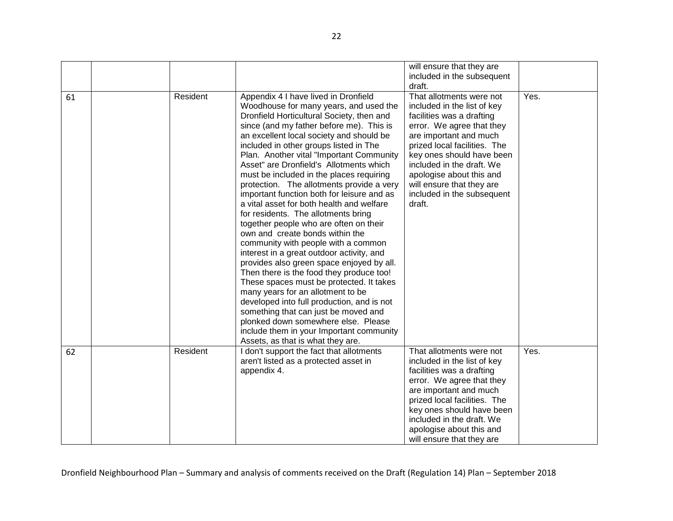|    |          |                                                                                                                                                                                                                                                                                                                                                                                                                                                                                                                                                                                                                                                                                                                                                                                                                                                                                                                                                                                                                                                                                                                                          | will ensure that they are<br>included in the subsequent<br>draft.                                                                                                                                                                                                                                                                      |      |
|----|----------|------------------------------------------------------------------------------------------------------------------------------------------------------------------------------------------------------------------------------------------------------------------------------------------------------------------------------------------------------------------------------------------------------------------------------------------------------------------------------------------------------------------------------------------------------------------------------------------------------------------------------------------------------------------------------------------------------------------------------------------------------------------------------------------------------------------------------------------------------------------------------------------------------------------------------------------------------------------------------------------------------------------------------------------------------------------------------------------------------------------------------------------|----------------------------------------------------------------------------------------------------------------------------------------------------------------------------------------------------------------------------------------------------------------------------------------------------------------------------------------|------|
| 61 | Resident | Appendix 4 I have lived in Dronfield<br>Woodhouse for many years, and used the<br>Dronfield Horticultural Society, then and<br>since (and my father before me). This is<br>an excellent local society and should be<br>included in other groups listed in The<br>Plan. Another vital "Important Community<br>Asset" are Dronfield's Allotments which<br>must be included in the places requiring<br>protection. The allotments provide a very<br>important function both for leisure and as<br>a vital asset for both health and welfare<br>for residents. The allotments bring<br>together people who are often on their<br>own and create bonds within the<br>community with people with a common<br>interest in a great outdoor activity, and<br>provides also green space enjoyed by all.<br>Then there is the food they produce too!<br>These spaces must be protected. It takes<br>many years for an allotment to be<br>developed into full production, and is not<br>something that can just be moved and<br>plonked down somewhere else. Please<br>include them in your Important community<br>Assets, as that is what they are. | That allotments were not<br>included in the list of key<br>facilities was a drafting<br>error. We agree that they<br>are important and much<br>prized local facilities. The<br>key ones should have been<br>included in the draft. We<br>apologise about this and<br>will ensure that they are<br>included in the subsequent<br>draft. | Yes. |
| 62 | Resident | I don't support the fact that allotments<br>aren't listed as a protected asset in<br>appendix 4.                                                                                                                                                                                                                                                                                                                                                                                                                                                                                                                                                                                                                                                                                                                                                                                                                                                                                                                                                                                                                                         | That allotments were not<br>included in the list of key<br>facilities was a drafting<br>error. We agree that they<br>are important and much<br>prized local facilities. The<br>key ones should have been<br>included in the draft. We<br>apologise about this and<br>will ensure that they are                                         | Yes. |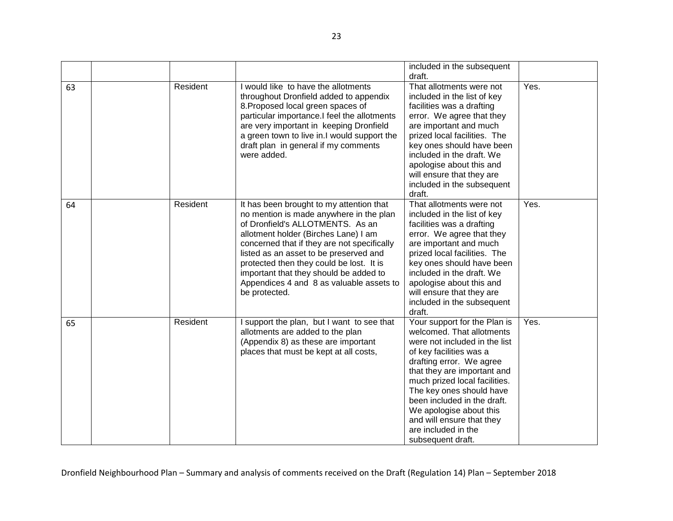|    |          |                                                                                                                                                                                                                                                                                                                                                                                                             | included in the subsequent<br>draft.                                                                                                                                                                                                                                                                                                                                             |      |
|----|----------|-------------------------------------------------------------------------------------------------------------------------------------------------------------------------------------------------------------------------------------------------------------------------------------------------------------------------------------------------------------------------------------------------------------|----------------------------------------------------------------------------------------------------------------------------------------------------------------------------------------------------------------------------------------------------------------------------------------------------------------------------------------------------------------------------------|------|
| 63 | Resident | I would like to have the allotments<br>throughout Dronfield added to appendix<br>8. Proposed local green spaces of<br>particular importance.I feel the allotments<br>are very important in keeping Dronfield<br>a green town to live in.I would support the<br>draft plan in general if my comments<br>were added.                                                                                          | That allotments were not<br>included in the list of key<br>facilities was a drafting<br>error. We agree that they<br>are important and much<br>prized local facilities. The<br>key ones should have been<br>included in the draft. We<br>apologise about this and<br>will ensure that they are<br>included in the subsequent<br>draft.                                           | Yes. |
| 64 | Resident | It has been brought to my attention that<br>no mention is made anywhere in the plan<br>of Dronfield's ALLOTMENTS. As an<br>allotment holder (Birches Lane) I am<br>concerned that if they are not specifically<br>listed as an asset to be preserved and<br>protected then they could be lost. It is<br>important that they should be added to<br>Appendices 4 and 8 as valuable assets to<br>be protected. | That allotments were not<br>included in the list of key<br>facilities was a drafting<br>error. We agree that they<br>are important and much<br>prized local facilities. The<br>key ones should have been<br>included in the draft. We<br>apologise about this and<br>will ensure that they are<br>included in the subsequent<br>draft.                                           | Yes. |
| 65 | Resident | I support the plan, but I want to see that<br>allotments are added to the plan<br>(Appendix 8) as these are important<br>places that must be kept at all costs,                                                                                                                                                                                                                                             | Your support for the Plan is<br>welcomed. That allotments<br>were not included in the list<br>of key facilities was a<br>drafting error. We agree<br>that they are important and<br>much prized local facilities.<br>The key ones should have<br>been included in the draft.<br>We apologise about this<br>and will ensure that they<br>are included in the<br>subsequent draft. | Yes. |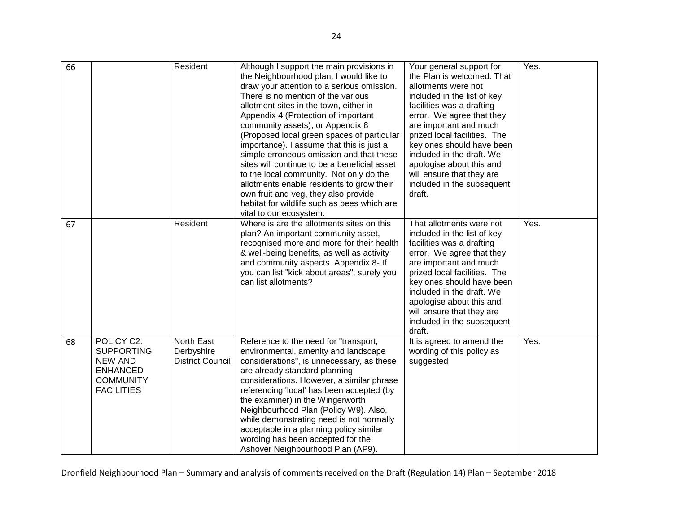|    |                                                                                                               | Resident                                            |                                                                                                                                                                                                                                                                                                                                                                                                                                                                                                                                                                                                                                                                                                | Your general support for                                                                                                                                                                                                                                                                                                                                        | Yes. |
|----|---------------------------------------------------------------------------------------------------------------|-----------------------------------------------------|------------------------------------------------------------------------------------------------------------------------------------------------------------------------------------------------------------------------------------------------------------------------------------------------------------------------------------------------------------------------------------------------------------------------------------------------------------------------------------------------------------------------------------------------------------------------------------------------------------------------------------------------------------------------------------------------|-----------------------------------------------------------------------------------------------------------------------------------------------------------------------------------------------------------------------------------------------------------------------------------------------------------------------------------------------------------------|------|
| 66 |                                                                                                               |                                                     | Although I support the main provisions in<br>the Neighbourhood plan, I would like to<br>draw your attention to a serious omission.<br>There is no mention of the various<br>allotment sites in the town, either in<br>Appendix 4 (Protection of important<br>community assets), or Appendix 8<br>(Proposed local green spaces of particular<br>importance). I assume that this is just a<br>simple erroneous omission and that these<br>sites will continue to be a beneficial asset<br>to the local community. Not only do the<br>allotments enable residents to grow their<br>own fruit and veg, they also provide<br>habitat for wildlife such as bees which are<br>vital to our ecosystem. | the Plan is welcomed. That<br>allotments were not<br>included in the list of key<br>facilities was a drafting<br>error. We agree that they<br>are important and much<br>prized local facilities. The<br>key ones should have been<br>included in the draft. We<br>apologise about this and<br>will ensure that they are<br>included in the subsequent<br>draft. |      |
| 67 |                                                                                                               | Resident                                            | Where is are the allotments sites on this<br>plan? An important community asset,<br>recognised more and more for their health<br>& well-being benefits, as well as activity<br>and community aspects. Appendix 8- If<br>you can list "kick about areas", surely you<br>can list allotments?                                                                                                                                                                                                                                                                                                                                                                                                    | That allotments were not<br>included in the list of key<br>facilities was a drafting<br>error. We agree that they<br>are important and much<br>prized local facilities. The<br>key ones should have been<br>included in the draft. We<br>apologise about this and<br>will ensure that they are<br>included in the subsequent<br>draft.                          | Yes. |
| 68 | POLICY C2:<br><b>SUPPORTING</b><br><b>NEW AND</b><br><b>ENHANCED</b><br><b>COMMUNITY</b><br><b>FACILITIES</b> | North East<br>Derbyshire<br><b>District Council</b> | Reference to the need for "transport,<br>environmental, amenity and landscape<br>considerations", is unnecessary, as these<br>are already standard planning<br>considerations. However, a similar phrase<br>referencing 'local' has been accepted (by<br>the examiner) in the Wingerworth<br>Neighbourhood Plan (Policy W9). Also,<br>while demonstrating need is not normally<br>acceptable in a planning policy similar<br>wording has been accepted for the<br>Ashover Neighbourhood Plan (AP9).                                                                                                                                                                                            | It is agreed to amend the<br>wording of this policy as<br>suggested                                                                                                                                                                                                                                                                                             | Yes. |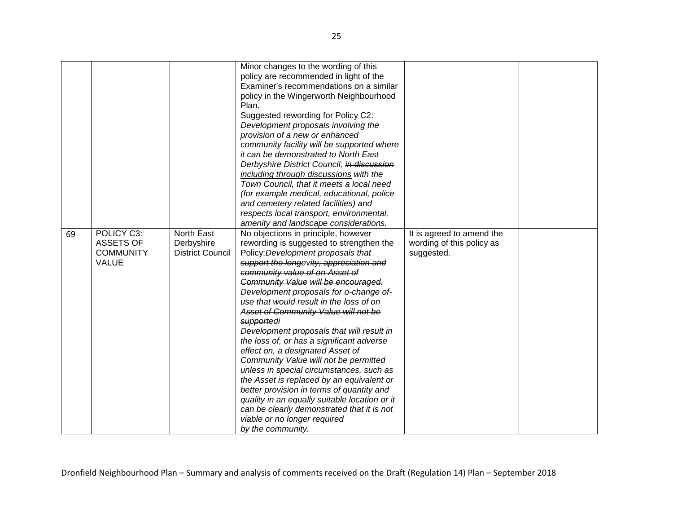| 69 | POLICY C3:<br><b>ASSETS OF</b><br><b>COMMUNITY</b><br><b>VALUE</b> | North East<br>Derbyshire<br><b>District Council</b> | Minor changes to the wording of this<br>policy are recommended in light of the<br>Examiner's recommendations on a similar<br>policy in the Wingerworth Neighbourhood<br>Plan.<br>Suggested rewording for Policy C2:<br>Development proposals involving the<br>provision of a new or enhanced<br>community facility will be supported where<br>it can be demonstrated to North East<br>Derbyshire District Council, in discussion<br>including through discussions with the<br>Town Council, that it meets a local need<br>(for example medical, educational, police<br>and cemetery related facilities) and<br>respects local transport, environmental,<br>amenity and landscape considerations.<br>No objections in principle, however<br>rewording is suggested to strengthen the<br>Policy: Development proposals that<br>support the longevity, appreciation and<br>community value of on Asset of<br>Community Value will be encouraged.<br>Development proposals for o-change of-<br>use that would result in the loss of on<br>Asset of Community Value will not be<br>supportedi<br>Development proposals that will result in<br>the loss of, or has a significant adverse<br>effect on, a designated Asset of | It is agreed to amend the<br>wording of this policy as<br>suggested. |  |
|----|--------------------------------------------------------------------|-----------------------------------------------------|------------------------------------------------------------------------------------------------------------------------------------------------------------------------------------------------------------------------------------------------------------------------------------------------------------------------------------------------------------------------------------------------------------------------------------------------------------------------------------------------------------------------------------------------------------------------------------------------------------------------------------------------------------------------------------------------------------------------------------------------------------------------------------------------------------------------------------------------------------------------------------------------------------------------------------------------------------------------------------------------------------------------------------------------------------------------------------------------------------------------------------------------------------------------------------------------------------------------|----------------------------------------------------------------------|--|
|    |                                                                    |                                                     | Community Value will not be permitted<br>unless in special circumstances, such as<br>the Asset is replaced by an equivalent or<br>better provision in terms of quantity and<br>quality in an equally suitable location or it<br>can be clearly demonstrated that it is not<br>viable or no longer required<br>by the community.                                                                                                                                                                                                                                                                                                                                                                                                                                                                                                                                                                                                                                                                                                                                                                                                                                                                                        |                                                                      |  |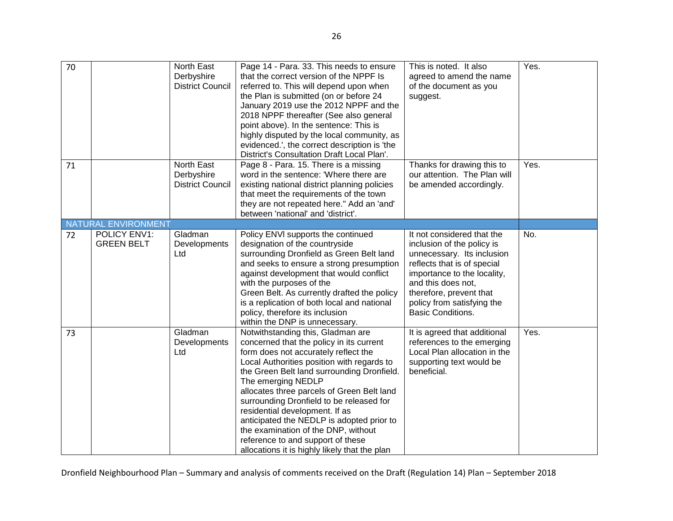| 70 |                                   | North East<br>Derbyshire<br><b>District Council</b> | Page 14 - Para. 33. This needs to ensure<br>that the correct version of the NPPF Is<br>referred to. This will depend upon when<br>the Plan is submitted (on or before 24<br>January 2019 use the 2012 NPPF and the<br>2018 NPPF thereafter (See also general<br>point above). In the sentence: This is<br>highly disputed by the local community, as<br>evidenced.', the correct description is 'the<br>District's Consultation Draft Local Plan'.                                                                                            | This is noted. It also<br>agreed to amend the name<br>of the document as you<br>suggest.                                                                                                                                                                        | Yes. |
|----|-----------------------------------|-----------------------------------------------------|-----------------------------------------------------------------------------------------------------------------------------------------------------------------------------------------------------------------------------------------------------------------------------------------------------------------------------------------------------------------------------------------------------------------------------------------------------------------------------------------------------------------------------------------------|-----------------------------------------------------------------------------------------------------------------------------------------------------------------------------------------------------------------------------------------------------------------|------|
| 71 |                                   | North East<br>Derbyshire<br><b>District Council</b> | Page 8 - Para. 15. There is a missing<br>word in the sentence: 'Where there are<br>existing national district planning policies<br>that meet the requirements of the town<br>they are not repeated here." Add an 'and'<br>between 'national' and 'district'.                                                                                                                                                                                                                                                                                  | Thanks for drawing this to<br>our attention. The Plan will<br>be amended accordingly.                                                                                                                                                                           | Yes. |
|    | NATURAL ENVIRONMENT               |                                                     |                                                                                                                                                                                                                                                                                                                                                                                                                                                                                                                                               |                                                                                                                                                                                                                                                                 |      |
| 72 | POLICY ENV1:<br><b>GREEN BELT</b> | Gladman<br>Developments<br>Ltd                      | Policy ENVI supports the continued<br>designation of the countryside<br>surrounding Dronfield as Green Belt land<br>and seeks to ensure a strong presumption<br>against development that would conflict<br>with the purposes of the<br>Green Belt. As currently drafted the policy<br>is a replication of both local and national<br>policy, therefore its inclusion<br>within the DNP is unnecessary.                                                                                                                                        | It not considered that the<br>inclusion of the policy is<br>unnecessary. Its inclusion<br>reflects that is of special<br>importance to the locality,<br>and this does not,<br>therefore, prevent that<br>policy from satisfying the<br><b>Basic Conditions.</b> | No.  |
| 73 |                                   | Gladman<br>Developments<br>Ltd                      | Notwithstanding this, Gladman are<br>concerned that the policy in its current<br>form does not accurately reflect the<br>Local Authorities position with regards to<br>the Green Belt land surrounding Dronfield.<br>The emerging NEDLP<br>allocates three parcels of Green Belt land<br>surrounding Dronfield to be released for<br>residential development. If as<br>anticipated the NEDLP is adopted prior to<br>the examination of the DNP, without<br>reference to and support of these<br>allocations it is highly likely that the plan | It is agreed that additional<br>references to the emerging<br>Local Plan allocation in the<br>supporting text would be<br>beneficial.                                                                                                                           | Yes. |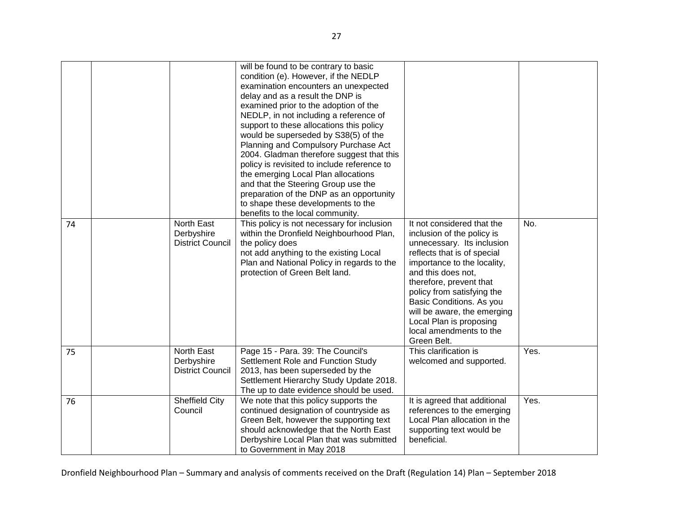| 74 | North East<br>Derbyshire                            | will be found to be contrary to basic<br>condition (e). However, if the NEDLP<br>examination encounters an unexpected<br>delay and as a result the DNP is<br>examined prior to the adoption of the<br>NEDLP, in not including a reference of<br>support to these allocations this policy<br>would be superseded by S38(5) of the<br>Planning and Compulsory Purchase Act<br>2004. Gladman therefore suggest that this<br>policy is revisited to include reference to<br>the emerging Local Plan allocations<br>and that the Steering Group use the<br>preparation of the DNP as an opportunity<br>to shape these developments to the<br>benefits to the local community.<br>This policy is not necessary for inclusion<br>within the Dronfield Neighbourhood Plan, | It not considered that the<br>inclusion of the policy is                                                                                                                                                                                                                                                | No.  |
|----|-----------------------------------------------------|--------------------------------------------------------------------------------------------------------------------------------------------------------------------------------------------------------------------------------------------------------------------------------------------------------------------------------------------------------------------------------------------------------------------------------------------------------------------------------------------------------------------------------------------------------------------------------------------------------------------------------------------------------------------------------------------------------------------------------------------------------------------|---------------------------------------------------------------------------------------------------------------------------------------------------------------------------------------------------------------------------------------------------------------------------------------------------------|------|
|    | <b>District Council</b>                             | the policy does<br>not add anything to the existing Local<br>Plan and National Policy in regards to the<br>protection of Green Belt land.                                                                                                                                                                                                                                                                                                                                                                                                                                                                                                                                                                                                                          | unnecessary. Its inclusion<br>reflects that is of special<br>importance to the locality,<br>and this does not,<br>therefore, prevent that<br>policy from satisfying the<br>Basic Conditions. As you<br>will be aware, the emerging<br>Local Plan is proposing<br>local amendments to the<br>Green Belt. |      |
| 75 | North East<br>Derbyshire<br><b>District Council</b> | Page 15 - Para. 39: The Council's<br>Settlement Role and Function Study<br>2013, has been superseded by the<br>Settlement Hierarchy Study Update 2018.<br>The up to date evidence should be used.                                                                                                                                                                                                                                                                                                                                                                                                                                                                                                                                                                  | This clarification is<br>welcomed and supported.                                                                                                                                                                                                                                                        | Yes. |
| 76 | <b>Sheffield City</b><br>Council                    | We note that this policy supports the<br>continued designation of countryside as<br>Green Belt, however the supporting text<br>should acknowledge that the North East<br>Derbyshire Local Plan that was submitted<br>to Government in May 2018                                                                                                                                                                                                                                                                                                                                                                                                                                                                                                                     | It is agreed that additional<br>references to the emerging<br>Local Plan allocation in the<br>supporting text would be<br>beneficial.                                                                                                                                                                   | Yes. |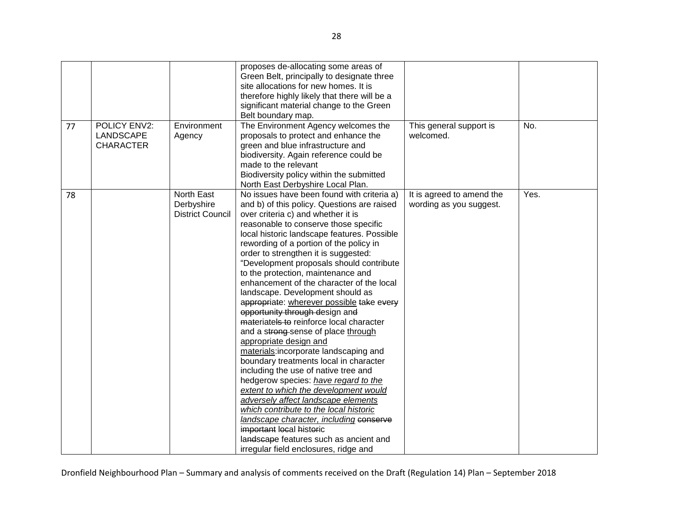| 77 | <b>POLICY ENV2:</b>           | Environment                                         | proposes de-allocating some areas of<br>Green Belt, principally to designate three<br>site allocations for new homes. It is<br>therefore highly likely that there will be a<br>significant material change to the Green<br>Belt boundary map.<br>The Environment Agency welcomes the                                                                                                                                                                                                                                                                                                                                                                                                                                                                                                                                                                                                                                                                                                                                                                                                                                             | This general support is                              | No.  |
|----|-------------------------------|-----------------------------------------------------|----------------------------------------------------------------------------------------------------------------------------------------------------------------------------------------------------------------------------------------------------------------------------------------------------------------------------------------------------------------------------------------------------------------------------------------------------------------------------------------------------------------------------------------------------------------------------------------------------------------------------------------------------------------------------------------------------------------------------------------------------------------------------------------------------------------------------------------------------------------------------------------------------------------------------------------------------------------------------------------------------------------------------------------------------------------------------------------------------------------------------------|------------------------------------------------------|------|
|    | LANDSCAPE<br><b>CHARACTER</b> | Agency                                              | proposals to protect and enhance the<br>green and blue infrastructure and<br>biodiversity. Again reference could be<br>made to the relevant<br>Biodiversity policy within the submitted<br>North East Derbyshire Local Plan.                                                                                                                                                                                                                                                                                                                                                                                                                                                                                                                                                                                                                                                                                                                                                                                                                                                                                                     | welcomed.                                            |      |
| 78 |                               | North East<br>Derbyshire<br><b>District Council</b> | No issues have been found with criteria a)<br>and b) of this policy. Questions are raised<br>over criteria c) and whether it is<br>reasonable to conserve those specific<br>local historic landscape features. Possible<br>rewording of a portion of the policy in<br>order to strengthen it is suggested:<br>"Development proposals should contribute<br>to the protection, maintenance and<br>enhancement of the character of the local<br>landscape. Development should as<br>appropriate: wherever possible take every<br>opportunity through design and<br>materiatels to reinforce local character<br>and a strong-sense of place through<br>appropriate design and<br>materials:incorporate landscaping and<br>boundary treatments local in character<br>including the use of native tree and<br>hedgerow species: have regard to the<br>extent to which the development would<br>adversely affect landscape elements<br>which contribute to the local historic<br>landscape character, including conserve<br>important local historic<br>landscape features such as ancient and<br>irregular field enclosures, ridge and | It is agreed to amend the<br>wording as you suggest. | Yes. |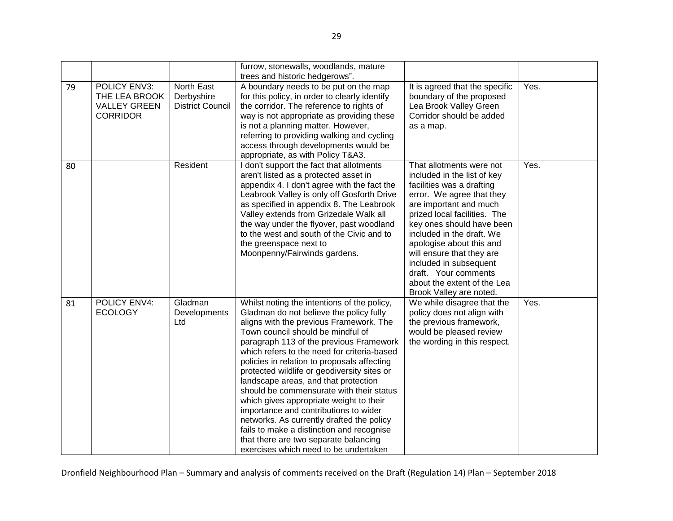|    |                                                                         |                                                     | furrow, stonewalls, woodlands, mature<br>trees and historic hedgerows".                                                                                                                                                                                                                                                                                                                                                                                                                                                                                                                                                                                                                                            |                                                                                                                                                                                                                                                                                                                                                                                                            |      |
|----|-------------------------------------------------------------------------|-----------------------------------------------------|--------------------------------------------------------------------------------------------------------------------------------------------------------------------------------------------------------------------------------------------------------------------------------------------------------------------------------------------------------------------------------------------------------------------------------------------------------------------------------------------------------------------------------------------------------------------------------------------------------------------------------------------------------------------------------------------------------------------|------------------------------------------------------------------------------------------------------------------------------------------------------------------------------------------------------------------------------------------------------------------------------------------------------------------------------------------------------------------------------------------------------------|------|
| 79 | POLICY ENV3:<br>THE LEA BROOK<br><b>VALLEY GREEN</b><br><b>CORRIDOR</b> | North East<br>Derbyshire<br><b>District Council</b> | A boundary needs to be put on the map<br>for this policy, in order to clearly identify<br>the corridor. The reference to rights of<br>way is not appropriate as providing these<br>is not a planning matter. However,<br>referring to providing walking and cycling<br>access through developments would be<br>appropriate, as with Policy T&A3.                                                                                                                                                                                                                                                                                                                                                                   | It is agreed that the specific<br>boundary of the proposed<br>Lea Brook Valley Green<br>Corridor should be added<br>as a map.                                                                                                                                                                                                                                                                              | Yes. |
| 80 |                                                                         | Resident                                            | I don't support the fact that allotments<br>aren't listed as a protected asset in<br>appendix 4. I don't agree with the fact the<br>Leabrook Valley is only off Gosforth Drive<br>as specified in appendix 8. The Leabrook<br>Valley extends from Grizedale Walk all<br>the way under the flyover, past woodland<br>to the west and south of the Civic and to<br>the greenspace next to<br>Moonpenny/Fairwinds gardens.                                                                                                                                                                                                                                                                                            | That allotments were not<br>included in the list of key<br>facilities was a drafting<br>error. We agree that they<br>are important and much<br>prized local facilities. The<br>key ones should have been<br>included in the draft. We<br>apologise about this and<br>will ensure that they are<br>included in subsequent<br>draft. Your comments<br>about the extent of the Lea<br>Brook Valley are noted. | Yes. |
| 81 | POLICY ENV4:<br><b>ECOLOGY</b>                                          | Gladman<br>Developments<br>Ltd                      | Whilst noting the intentions of the policy,<br>Gladman do not believe the policy fully<br>aligns with the previous Framework. The<br>Town council should be mindful of<br>paragraph 113 of the previous Framework<br>which refers to the need for criteria-based<br>policies in relation to proposals affecting<br>protected wildlife or geodiversity sites or<br>landscape areas, and that protection<br>should be commensurate with their status<br>which gives appropriate weight to their<br>importance and contributions to wider<br>networks. As currently drafted the policy<br>fails to make a distinction and recognise<br>that there are two separate balancing<br>exercises which need to be undertaken | We while disagree that the<br>policy does not align with<br>the previous framework,<br>would be pleased review<br>the wording in this respect.                                                                                                                                                                                                                                                             | Yes. |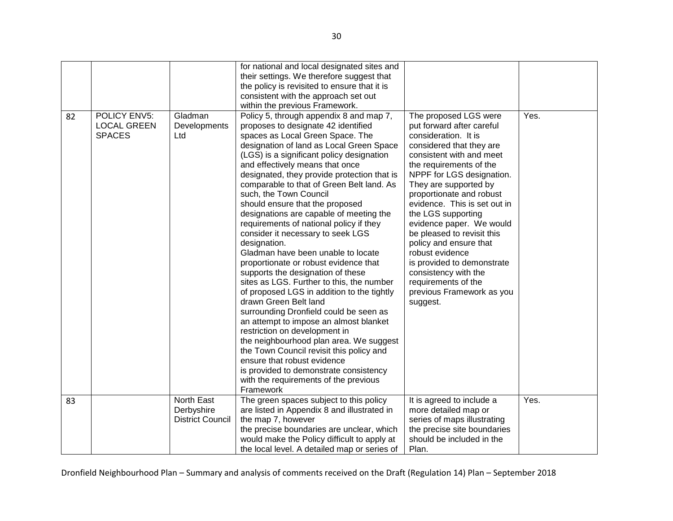|    |                                                            |                                                     | for national and local designated sites and<br>their settings. We therefore suggest that<br>the policy is revisited to ensure that it is<br>consistent with the approach set out                                                                                                                                                                                                                                                                                                                                                                                                                                                                                                                                                                                                                                                                                                                                                                                                                                                                                                                                                                                        |                                                                                                                                                                                                                                                                                                                                                                                                                                                                                                                                    |      |
|----|------------------------------------------------------------|-----------------------------------------------------|-------------------------------------------------------------------------------------------------------------------------------------------------------------------------------------------------------------------------------------------------------------------------------------------------------------------------------------------------------------------------------------------------------------------------------------------------------------------------------------------------------------------------------------------------------------------------------------------------------------------------------------------------------------------------------------------------------------------------------------------------------------------------------------------------------------------------------------------------------------------------------------------------------------------------------------------------------------------------------------------------------------------------------------------------------------------------------------------------------------------------------------------------------------------------|------------------------------------------------------------------------------------------------------------------------------------------------------------------------------------------------------------------------------------------------------------------------------------------------------------------------------------------------------------------------------------------------------------------------------------------------------------------------------------------------------------------------------------|------|
| 82 | <b>POLICY ENV5:</b><br><b>LOCAL GREEN</b><br><b>SPACES</b> | Gladman<br>Developments<br>Ltd                      | within the previous Framework.<br>Policy 5, through appendix 8 and map 7,<br>proposes to designate 42 identified<br>spaces as Local Green Space. The<br>designation of land as Local Green Space<br>(LGS) is a significant policy designation<br>and effectively means that once<br>designated, they provide protection that is<br>comparable to that of Green Belt land. As<br>such, the Town Council<br>should ensure that the proposed<br>designations are capable of meeting the<br>requirements of national policy if they<br>consider it necessary to seek LGS<br>designation.<br>Gladman have been unable to locate<br>proportionate or robust evidence that<br>supports the designation of these<br>sites as LGS. Further to this, the number<br>of proposed LGS in addition to the tightly<br>drawn Green Belt land<br>surrounding Dronfield could be seen as<br>an attempt to impose an almost blanket<br>restriction on development in<br>the neighbourhood plan area. We suggest<br>the Town Council revisit this policy and<br>ensure that robust evidence<br>is provided to demonstrate consistency<br>with the requirements of the previous<br>Framework | The proposed LGS were<br>put forward after careful<br>consideration. It is<br>considered that they are<br>consistent with and meet<br>the requirements of the<br>NPPF for LGS designation.<br>They are supported by<br>proportionate and robust<br>evidence. This is set out in<br>the LGS supporting<br>evidence paper. We would<br>be pleased to revisit this<br>policy and ensure that<br>robust evidence<br>is provided to demonstrate<br>consistency with the<br>requirements of the<br>previous Framework as you<br>suggest. | Yes. |
| 83 |                                                            | North East<br>Derbyshire<br><b>District Council</b> | The green spaces subject to this policy<br>are listed in Appendix 8 and illustrated in<br>the map 7, however<br>the precise boundaries are unclear, which<br>would make the Policy difficult to apply at<br>the local level. A detailed map or series of                                                                                                                                                                                                                                                                                                                                                                                                                                                                                                                                                                                                                                                                                                                                                                                                                                                                                                                | It is agreed to include a<br>more detailed map or<br>series of maps illustrating<br>the precise site boundaries<br>should be included in the<br>Plan.                                                                                                                                                                                                                                                                                                                                                                              | Yes. |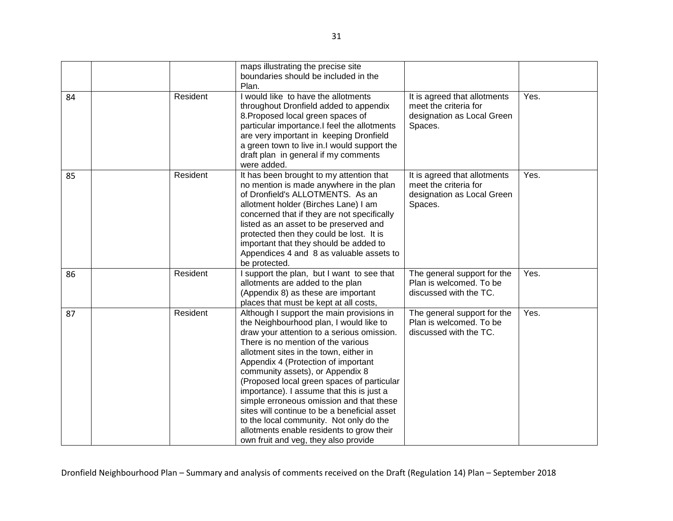|    |          | maps illustrating the precise site                                            |                              |      |
|----|----------|-------------------------------------------------------------------------------|------------------------------|------|
|    |          | boundaries should be included in the                                          |                              |      |
|    |          | Plan.                                                                         |                              |      |
| 84 | Resident | I would like to have the allotments                                           | It is agreed that allotments | Yes. |
|    |          | throughout Dronfield added to appendix                                        | meet the criteria for        |      |
|    |          | 8. Proposed local green spaces of                                             | designation as Local Green   |      |
|    |          | particular importance.I feel the allotments                                   | Spaces.                      |      |
|    |          | are very important in keeping Dronfield                                       |                              |      |
|    |          | a green town to live in.I would support the                                   |                              |      |
|    |          | draft plan in general if my comments<br>were added.                           |                              |      |
|    | Resident | It has been brought to my attention that                                      | It is agreed that allotments | Yes. |
| 85 |          | no mention is made anywhere in the plan                                       | meet the criteria for        |      |
|    |          | of Dronfield's ALLOTMENTS. As an                                              | designation as Local Green   |      |
|    |          | allotment holder (Birches Lane) I am                                          | Spaces.                      |      |
|    |          | concerned that if they are not specifically                                   |                              |      |
|    |          | listed as an asset to be preserved and                                        |                              |      |
|    |          | protected then they could be lost. It is                                      |                              |      |
|    |          | important that they should be added to                                        |                              |      |
|    |          | Appendices 4 and 8 as valuable assets to                                      |                              |      |
|    |          | be protected.                                                                 |                              |      |
| 86 | Resident | I support the plan, but I want to see that                                    | The general support for the  | Yes. |
|    |          | allotments are added to the plan                                              | Plan is welcomed. To be      |      |
|    |          | (Appendix 8) as these are important                                           | discussed with the TC.       |      |
|    |          | places that must be kept at all costs,                                        |                              |      |
| 87 | Resident | Although I support the main provisions in                                     | The general support for the  | Yes. |
|    |          | the Neighbourhood plan, I would like to                                       | Plan is welcomed. To be      |      |
|    |          | draw your attention to a serious omission.                                    | discussed with the TC.       |      |
|    |          | There is no mention of the various                                            |                              |      |
|    |          | allotment sites in the town, either in<br>Appendix 4 (Protection of important |                              |      |
|    |          | community assets), or Appendix 8                                              |                              |      |
|    |          | (Proposed local green spaces of particular                                    |                              |      |
|    |          | importance). I assume that this is just a                                     |                              |      |
|    |          | simple erroneous omission and that these                                      |                              |      |
|    |          | sites will continue to be a beneficial asset                                  |                              |      |
|    |          | to the local community. Not only do the                                       |                              |      |
|    |          | allotments enable residents to grow their                                     |                              |      |
|    |          | own fruit and veg, they also provide                                          |                              |      |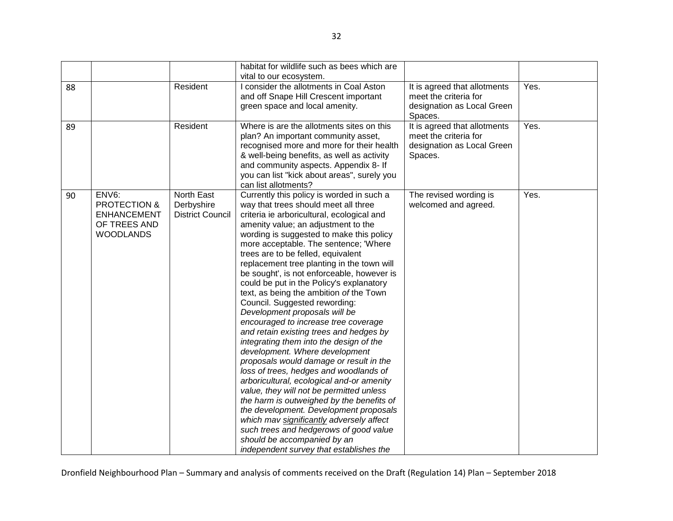|    |                                                                                            |                                                     | habitat for wildlife such as bees which are                                                                                                                                                                                                                                                                                                                                                                                                                                                                                                                                                                                                                                                                                                                                                                                                                                                                                                                                                                                                                                                                                                                 |                                                                                                |      |
|----|--------------------------------------------------------------------------------------------|-----------------------------------------------------|-------------------------------------------------------------------------------------------------------------------------------------------------------------------------------------------------------------------------------------------------------------------------------------------------------------------------------------------------------------------------------------------------------------------------------------------------------------------------------------------------------------------------------------------------------------------------------------------------------------------------------------------------------------------------------------------------------------------------------------------------------------------------------------------------------------------------------------------------------------------------------------------------------------------------------------------------------------------------------------------------------------------------------------------------------------------------------------------------------------------------------------------------------------|------------------------------------------------------------------------------------------------|------|
|    |                                                                                            |                                                     | vital to our ecosystem.                                                                                                                                                                                                                                                                                                                                                                                                                                                                                                                                                                                                                                                                                                                                                                                                                                                                                                                                                                                                                                                                                                                                     |                                                                                                |      |
| 88 |                                                                                            | Resident                                            | I consider the allotments in Coal Aston<br>and off Snape Hill Crescent important<br>green space and local amenity.                                                                                                                                                                                                                                                                                                                                                                                                                                                                                                                                                                                                                                                                                                                                                                                                                                                                                                                                                                                                                                          | It is agreed that allotments<br>meet the criteria for<br>designation as Local Green<br>Spaces. | Yes. |
| 89 |                                                                                            | Resident                                            | Where is are the allotments sites on this<br>plan? An important community asset,<br>recognised more and more for their health<br>& well-being benefits, as well as activity<br>and community aspects. Appendix 8- If<br>you can list "kick about areas", surely you<br>can list allotments?                                                                                                                                                                                                                                                                                                                                                                                                                                                                                                                                                                                                                                                                                                                                                                                                                                                                 | It is agreed that allotments<br>meet the criteria for<br>designation as Local Green<br>Spaces. | Yes. |
| 90 | ENV6:<br><b>PROTECTION &amp;</b><br><b>ENHANCEMENT</b><br>OF TREES AND<br><b>WOODLANDS</b> | North East<br>Derbyshire<br><b>District Council</b> | Currently this policy is worded in such a<br>way that trees should meet all three<br>criteria ie arboricultural, ecological and<br>amenity value; an adjustment to the<br>wording is suggested to make this policy<br>more acceptable. The sentence; 'Where<br>trees are to be felled, equivalent<br>replacement tree planting in the town will<br>be sought', is not enforceable, however is<br>could be put in the Policy's explanatory<br>text, as being the ambition of the Town<br>Council. Suggested rewording:<br>Development proposals will be<br>encouraged to increase tree coverage<br>and retain existing trees and hedges by<br>integrating them into the design of the<br>development. Where development<br>proposals would damage or result in the<br>loss of trees, hedges and woodlands of<br>arboricultural, ecological and-or amenity<br>value, they will not be permitted unless<br>the harm is outweighed by the benefits of<br>the development. Development proposals<br>which mav significantly adversely affect<br>such trees and hedgerows of good value<br>should be accompanied by an<br>independent survey that establishes the | The revised wording is<br>welcomed and agreed.                                                 | Yes. |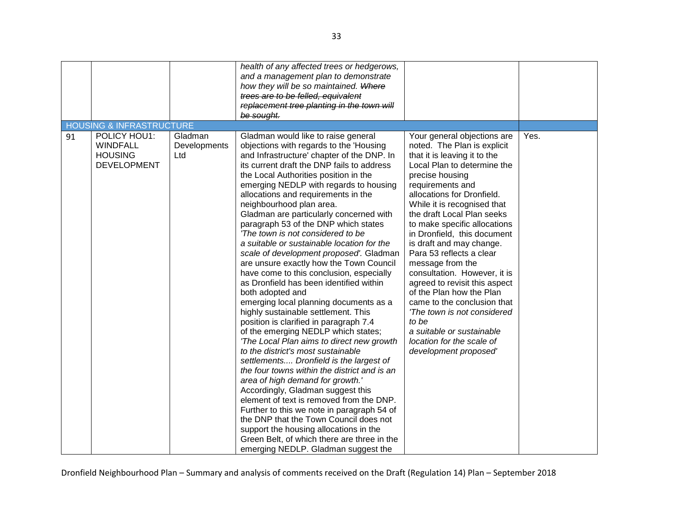|    |                                                                         |                                | health of any affected trees or hedgerows,<br>and a management plan to demonstrate<br>how they will be so maintained. Where<br>trees are to be felled, equivalent<br>replacement tree planting in the town will<br>be sought.                                                                                                                                                                                                                                                                                                                                                                                                                                                                                                                                                                                                                                                                                                                                                                                                                                                                                                                                                                                                                                                                                                                                                                        |                                                                                                                                                                                                                                                                                                                                                                                                                                                                                                                                                                                                                                                               |      |
|----|-------------------------------------------------------------------------|--------------------------------|------------------------------------------------------------------------------------------------------------------------------------------------------------------------------------------------------------------------------------------------------------------------------------------------------------------------------------------------------------------------------------------------------------------------------------------------------------------------------------------------------------------------------------------------------------------------------------------------------------------------------------------------------------------------------------------------------------------------------------------------------------------------------------------------------------------------------------------------------------------------------------------------------------------------------------------------------------------------------------------------------------------------------------------------------------------------------------------------------------------------------------------------------------------------------------------------------------------------------------------------------------------------------------------------------------------------------------------------------------------------------------------------------|---------------------------------------------------------------------------------------------------------------------------------------------------------------------------------------------------------------------------------------------------------------------------------------------------------------------------------------------------------------------------------------------------------------------------------------------------------------------------------------------------------------------------------------------------------------------------------------------------------------------------------------------------------------|------|
|    | <b>HOUSING &amp; INFRASTRUCTURE</b>                                     |                                |                                                                                                                                                                                                                                                                                                                                                                                                                                                                                                                                                                                                                                                                                                                                                                                                                                                                                                                                                                                                                                                                                                                                                                                                                                                                                                                                                                                                      |                                                                                                                                                                                                                                                                                                                                                                                                                                                                                                                                                                                                                                                               |      |
| 91 | POLICY HOU1:<br><b>WINDFALL</b><br><b>HOUSING</b><br><b>DEVELOPMENT</b> | Gladman<br>Developments<br>Ltd | Gladman would like to raise general<br>objections with regards to the 'Housing<br>and Infrastructure' chapter of the DNP. In<br>its current draft the DNP fails to address<br>the Local Authorities position in the<br>emerging NEDLP with regards to housing<br>allocations and requirements in the<br>neighbourhood plan area.<br>Gladman are particularly concerned with<br>paragraph 53 of the DNP which states<br>'The town is not considered to be<br>a suitable or sustainable location for the<br>scale of development proposed'. Gladman<br>are unsure exactly how the Town Council<br>have come to this conclusion, especially<br>as Dronfield has been identified within<br>both adopted and<br>emerging local planning documents as a<br>highly sustainable settlement. This<br>position is clarified in paragraph 7.4<br>of the emerging NEDLP which states;<br>'The Local Plan aims to direct new growth<br>to the district's most sustainable<br>settlements Dronfield is the largest of<br>the four towns within the district and is an<br>area of high demand for growth.'<br>Accordingly, Gladman suggest this<br>element of text is removed from the DNP.<br>Further to this we note in paragraph 54 of<br>the DNP that the Town Council does not<br>support the housing allocations in the<br>Green Belt, of which there are three in the<br>emerging NEDLP. Gladman suggest the | Your general objections are<br>noted. The Plan is explicit<br>that it is leaving it to the<br>Local Plan to determine the<br>precise housing<br>requirements and<br>allocations for Dronfield.<br>While it is recognised that<br>the draft Local Plan seeks<br>to make specific allocations<br>in Dronfield, this document<br>is draft and may change.<br>Para 53 reflects a clear<br>message from the<br>consultation. However, it is<br>agreed to revisit this aspect<br>of the Plan how the Plan<br>came to the conclusion that<br>'The town is not considered<br>to be<br>a suitable or sustainable<br>location for the scale of<br>development proposed' | Yes. |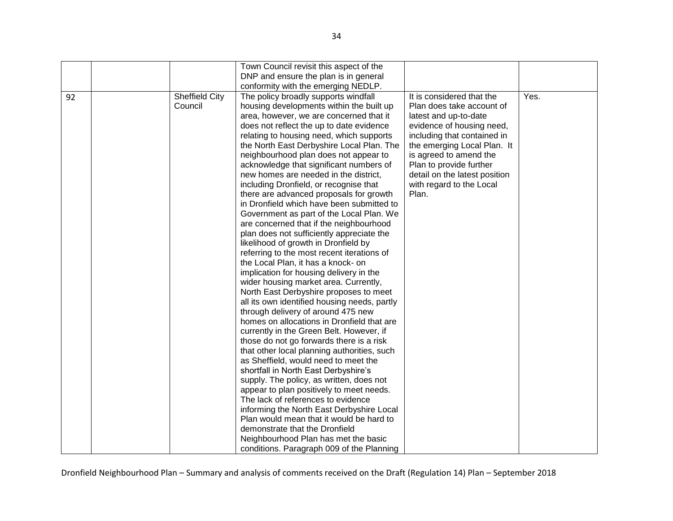|    |                       | Town Council revisit this aspect of the      |                               |      |
|----|-----------------------|----------------------------------------------|-------------------------------|------|
|    |                       | DNP and ensure the plan is in general        |                               |      |
|    |                       | conformity with the emerging NEDLP.          |                               |      |
| 92 | <b>Sheffield City</b> | The policy broadly supports windfall         | It is considered that the     | Yes. |
|    | Council               | housing developments within the built up     | Plan does take account of     |      |
|    |                       | area, however, we are concerned that it      | latest and up-to-date         |      |
|    |                       | does not reflect the up to date evidence     | evidence of housing need,     |      |
|    |                       | relating to housing need, which supports     | including that contained in   |      |
|    |                       | the North East Derbyshire Local Plan. The    | the emerging Local Plan. It   |      |
|    |                       | neighbourhood plan does not appear to        | is agreed to amend the        |      |
|    |                       | acknowledge that significant numbers of      | Plan to provide further       |      |
|    |                       | new homes are needed in the district,        | detail on the latest position |      |
|    |                       | including Dronfield, or recognise that       | with regard to the Local      |      |
|    |                       | there are advanced proposals for growth      | Plan.                         |      |
|    |                       | in Dronfield which have been submitted to    |                               |      |
|    |                       | Government as part of the Local Plan. We     |                               |      |
|    |                       | are concerned that if the neighbourhood      |                               |      |
|    |                       | plan does not sufficiently appreciate the    |                               |      |
|    |                       | likelihood of growth in Dronfield by         |                               |      |
|    |                       | referring to the most recent iterations of   |                               |      |
|    |                       | the Local Plan, it has a knock- on           |                               |      |
|    |                       | implication for housing delivery in the      |                               |      |
|    |                       | wider housing market area. Currently,        |                               |      |
|    |                       | North East Derbyshire proposes to meet       |                               |      |
|    |                       | all its own identified housing needs, partly |                               |      |
|    |                       | through delivery of around 475 new           |                               |      |
|    |                       | homes on allocations in Dronfield that are   |                               |      |
|    |                       | currently in the Green Belt. However, if     |                               |      |
|    |                       | those do not go forwards there is a risk     |                               |      |
|    |                       | that other local planning authorities, such  |                               |      |
|    |                       | as Sheffield, would need to meet the         |                               |      |
|    |                       | shortfall in North East Derbyshire's         |                               |      |
|    |                       | supply. The policy, as written, does not     |                               |      |
|    |                       | appear to plan positively to meet needs.     |                               |      |
|    |                       | The lack of references to evidence           |                               |      |
|    |                       | informing the North East Derbyshire Local    |                               |      |
|    |                       | Plan would mean that it would be hard to     |                               |      |
|    |                       | demonstrate that the Dronfield               |                               |      |
|    |                       | Neighbourhood Plan has met the basic         |                               |      |
|    |                       | conditions. Paragraph 009 of the Planning    |                               |      |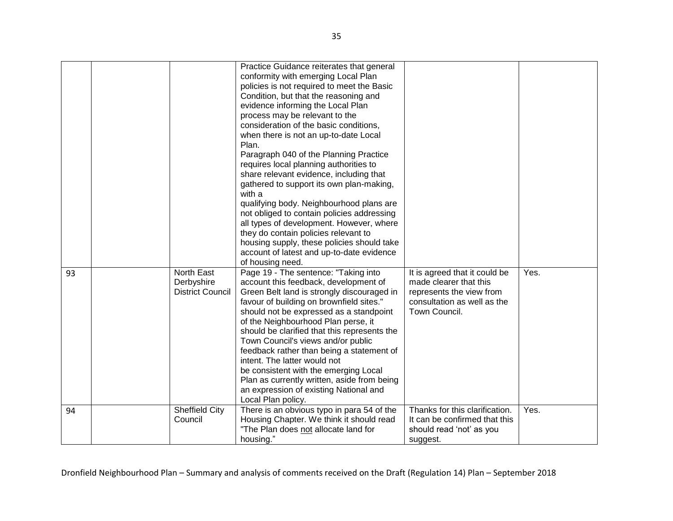|    |                                                     | Practice Guidance reiterates that general<br>conformity with emerging Local Plan<br>policies is not required to meet the Basic<br>Condition, but that the reasoning and<br>evidence informing the Local Plan<br>process may be relevant to the<br>consideration of the basic conditions,<br>when there is not an up-to-date Local<br>Plan.<br>Paragraph 040 of the Planning Practice<br>requires local planning authorities to<br>share relevant evidence, including that<br>gathered to support its own plan-making,<br>with a<br>qualifying body. Neighbourhood plans are<br>not obliged to contain policies addressing<br>all types of development. However, where<br>they do contain policies relevant to<br>housing supply, these policies should take<br>account of latest and up-to-date evidence |                                                                                                                                     |      |
|----|-----------------------------------------------------|----------------------------------------------------------------------------------------------------------------------------------------------------------------------------------------------------------------------------------------------------------------------------------------------------------------------------------------------------------------------------------------------------------------------------------------------------------------------------------------------------------------------------------------------------------------------------------------------------------------------------------------------------------------------------------------------------------------------------------------------------------------------------------------------------------|-------------------------------------------------------------------------------------------------------------------------------------|------|
| 93 | North East<br>Derbyshire<br><b>District Council</b> | of housing need.<br>Page 19 - The sentence: "Taking into<br>account this feedback, development of<br>Green Belt land is strongly discouraged in<br>favour of building on brownfield sites."<br>should not be expressed as a standpoint<br>of the Neighbourhood Plan perse, it<br>should be clarified that this represents the<br>Town Council's views and/or public<br>feedback rather than being a statement of<br>intent. The latter would not<br>be consistent with the emerging Local<br>Plan as currently written, aside from being<br>an expression of existing National and<br>Local Plan policy.                                                                                                                                                                                                 | It is agreed that it could be<br>made clearer that this<br>represents the view from<br>consultation as well as the<br>Town Council. | Yes. |
| 94 | <b>Sheffield City</b><br>Council                    | There is an obvious typo in para 54 of the<br>Housing Chapter. We think it should read<br>"The Plan does not allocate land for<br>housing."                                                                                                                                                                                                                                                                                                                                                                                                                                                                                                                                                                                                                                                              | Thanks for this clarification.<br>It can be confirmed that this<br>should read 'not' as you<br>suggest.                             | Yes. |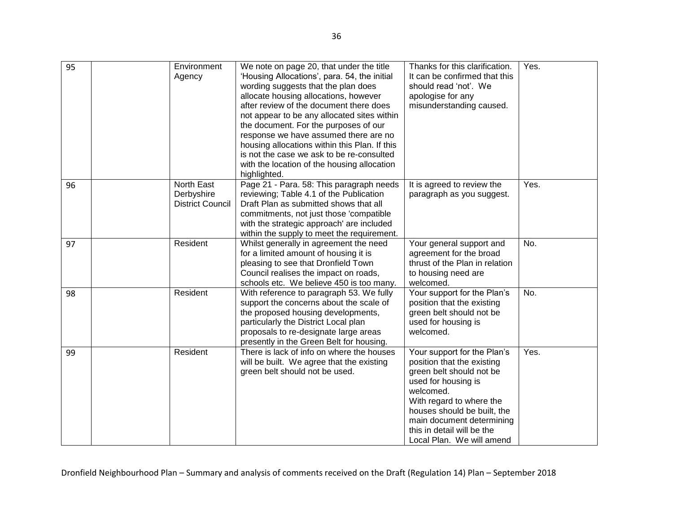| 95 | Environment<br>Agency                               | We note on page 20, that under the title<br>'Housing Allocations', para. 54, the initial<br>wording suggests that the plan does<br>allocate housing allocations, however<br>after review of the document there does<br>not appear to be any allocated sites within<br>the document. For the purposes of our<br>response we have assumed there are no<br>housing allocations within this Plan. If this<br>is not the case we ask to be re-consulted<br>with the location of the housing allocation<br>highlighted. | Thanks for this clarification.<br>It can be confirmed that this<br>should read 'not'. We<br>apologise for any<br>misunderstanding caused.                                                                                                                                    | Yes. |
|----|-----------------------------------------------------|-------------------------------------------------------------------------------------------------------------------------------------------------------------------------------------------------------------------------------------------------------------------------------------------------------------------------------------------------------------------------------------------------------------------------------------------------------------------------------------------------------------------|------------------------------------------------------------------------------------------------------------------------------------------------------------------------------------------------------------------------------------------------------------------------------|------|
| 96 | North East<br>Derbyshire<br><b>District Council</b> | Page 21 - Para. 58: This paragraph needs<br>reviewing; Table 4.1 of the Publication<br>Draft Plan as submitted shows that all<br>commitments, not just those 'compatible<br>with the strategic approach' are included<br>within the supply to meet the requirement.                                                                                                                                                                                                                                               | It is agreed to review the<br>paragraph as you suggest.                                                                                                                                                                                                                      | Yes. |
| 97 | Resident                                            | Whilst generally in agreement the need<br>for a limited amount of housing it is<br>pleasing to see that Dronfield Town<br>Council realises the impact on roads,<br>schools etc. We believe 450 is too many.                                                                                                                                                                                                                                                                                                       | Your general support and<br>agreement for the broad<br>thrust of the Plan in relation<br>to housing need are<br>welcomed.                                                                                                                                                    | No.  |
| 98 | Resident                                            | With reference to paragraph 53. We fully<br>support the concerns about the scale of<br>the proposed housing developments,<br>particularly the District Local plan<br>proposals to re-designate large areas<br>presently in the Green Belt for housing.                                                                                                                                                                                                                                                            | Your support for the Plan's<br>position that the existing<br>green belt should not be<br>used for housing is<br>welcomed.                                                                                                                                                    | No.  |
| 99 | Resident                                            | There is lack of info on where the houses<br>will be built. We agree that the existing<br>green belt should not be used.                                                                                                                                                                                                                                                                                                                                                                                          | Your support for the Plan's<br>position that the existing<br>green belt should not be<br>used for housing is<br>welcomed.<br>With regard to where the<br>houses should be built, the<br>main document determining<br>this in detail will be the<br>Local Plan. We will amend | Yes. |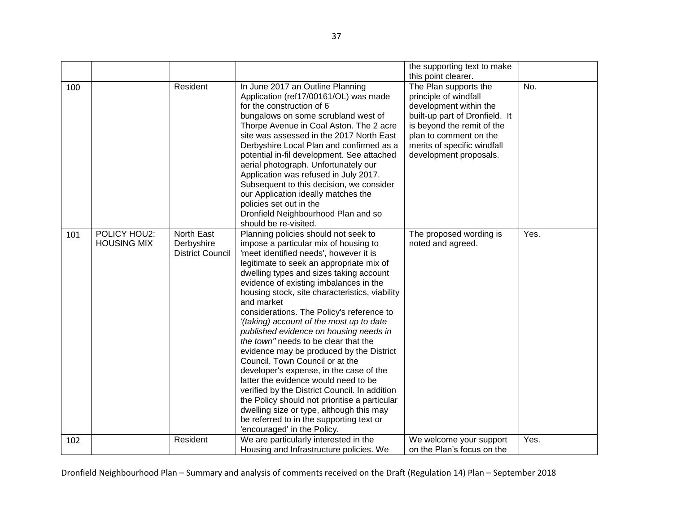|     |                                    |                                                     |                                                                                                                                                                                                                                                                                                                                                                                                                                                                                                                                                                                                                                                                                                                                                                                                                                                                                                | the supporting text to make                                                                                                                                                                                                                        |      |
|-----|------------------------------------|-----------------------------------------------------|------------------------------------------------------------------------------------------------------------------------------------------------------------------------------------------------------------------------------------------------------------------------------------------------------------------------------------------------------------------------------------------------------------------------------------------------------------------------------------------------------------------------------------------------------------------------------------------------------------------------------------------------------------------------------------------------------------------------------------------------------------------------------------------------------------------------------------------------------------------------------------------------|----------------------------------------------------------------------------------------------------------------------------------------------------------------------------------------------------------------------------------------------------|------|
| 100 |                                    | Resident                                            | In June 2017 an Outline Planning<br>Application (ref17/00161/OL) was made<br>for the construction of 6<br>bungalows on some scrubland west of<br>Thorpe Avenue in Coal Aston. The 2 acre<br>site was assessed in the 2017 North East<br>Derbyshire Local Plan and confirmed as a<br>potential in-fil development. See attached<br>aerial photograph. Unfortunately our<br>Application was refused in July 2017.<br>Subsequent to this decision, we consider<br>our Application ideally matches the<br>policies set out in the<br>Dronfield Neighbourhood Plan and so<br>should be re-visited.                                                                                                                                                                                                                                                                                                  | this point clearer.<br>The Plan supports the<br>principle of windfall<br>development within the<br>built-up part of Dronfield. It<br>is beyond the remit of the<br>plan to comment on the<br>merits of specific windfall<br>development proposals. | No.  |
| 101 | POLICY HOU2:<br><b>HOUSING MIX</b> | North East<br>Derbyshire<br><b>District Council</b> | Planning policies should not seek to<br>impose a particular mix of housing to<br>'meet identified needs', however it is<br>legitimate to seek an appropriate mix of<br>dwelling types and sizes taking account<br>evidence of existing imbalances in the<br>housing stock, site characteristics, viability<br>and market<br>considerations. The Policy's reference to<br>'(taking) account of the most up to date<br>published evidence on housing needs in<br>the town" needs to be clear that the<br>evidence may be produced by the District<br>Council. Town Council or at the<br>developer's expense, in the case of the<br>latter the evidence would need to be<br>verified by the District Council. In addition<br>the Policy should not prioritise a particular<br>dwelling size or type, although this may<br>be referred to in the supporting text or<br>'encouraged' in the Policy. | The proposed wording is<br>noted and agreed.                                                                                                                                                                                                       | Yes. |
| 102 |                                    | Resident                                            | We are particularly interested in the<br>Housing and Infrastructure policies. We                                                                                                                                                                                                                                                                                                                                                                                                                                                                                                                                                                                                                                                                                                                                                                                                               | We welcome your support<br>on the Plan's focus on the                                                                                                                                                                                              | Yes. |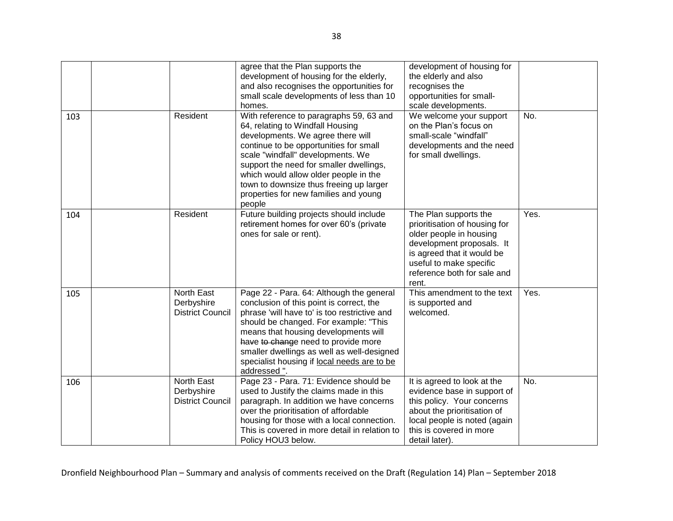|     |                                                     | agree that the Plan supports the<br>development of housing for the elderly,<br>and also recognises the opportunities for<br>small scale developments of less than 10<br>homes.                                                                                                                                                                                                    | development of housing for<br>the elderly and also<br>recognises the<br>opportunities for small-<br>scale developments.                                                                                         |      |
|-----|-----------------------------------------------------|-----------------------------------------------------------------------------------------------------------------------------------------------------------------------------------------------------------------------------------------------------------------------------------------------------------------------------------------------------------------------------------|-----------------------------------------------------------------------------------------------------------------------------------------------------------------------------------------------------------------|------|
| 103 | Resident                                            | With reference to paragraphs 59, 63 and<br>64, relating to Windfall Housing<br>developments. We agree there will<br>continue to be opportunities for small<br>scale "windfall" developments. We<br>support the need for smaller dwellings,<br>which would allow older people in the<br>town to downsize thus freeing up larger<br>properties for new families and young<br>people | We welcome your support<br>on the Plan's focus on<br>small-scale "windfall"<br>developments and the need<br>for small dwellings.                                                                                | No.  |
| 104 | Resident                                            | Future building projects should include<br>retirement homes for over 60's (private<br>ones for sale or rent).                                                                                                                                                                                                                                                                     | The Plan supports the<br>prioritisation of housing for<br>older people in housing<br>development proposals. It<br>is agreed that it would be<br>useful to make specific<br>reference both for sale and<br>rent. | Yes. |
| 105 | North East<br>Derbyshire<br><b>District Council</b> | Page 22 - Para. 64: Although the general<br>conclusion of this point is correct, the<br>phrase 'will have to' is too restrictive and<br>should be changed. For example: "This<br>means that housing developments will<br>have to change need to provide more<br>smaller dwellings as well as well-designed<br>specialist housing if local needs are to be<br>addressed".          | This amendment to the text<br>is supported and<br>welcomed.                                                                                                                                                     | Yes. |
| 106 | North East<br>Derbyshire<br><b>District Council</b> | Page 23 - Para. 71: Evidence should be<br>used to Justify the claims made in this<br>paragraph. In addition we have concerns<br>over the prioritisation of affordable<br>housing for those with a local connection.<br>This is covered in more detail in relation to<br>Policy HOU3 below.                                                                                        | It is agreed to look at the<br>evidence base in support of<br>this policy. Your concerns<br>about the prioritisation of<br>local people is noted (again<br>this is covered in more<br>detail later).            | No.  |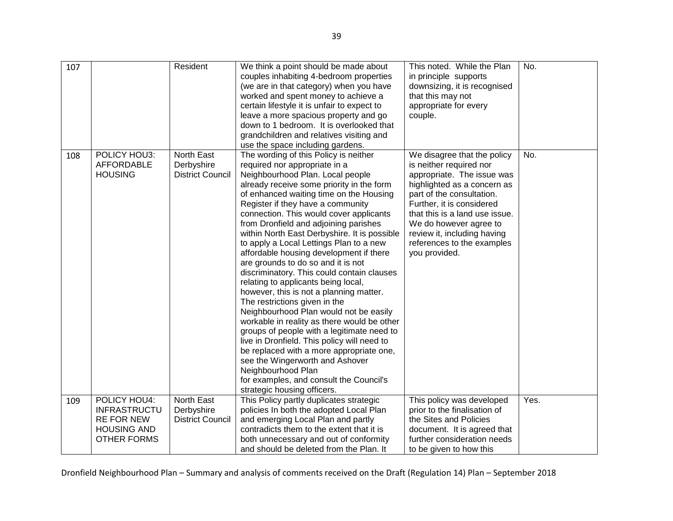| 107 |                                          | Resident                              | We think a point should be made about<br>couples inhabiting 4-bedroom properties<br>(we are in that category) when you have<br>worked and spent money to achieve a | This noted. While the Plan<br>in principle supports<br>downsizing, it is recognised<br>that this may not | No.  |
|-----|------------------------------------------|---------------------------------------|--------------------------------------------------------------------------------------------------------------------------------------------------------------------|----------------------------------------------------------------------------------------------------------|------|
|     |                                          |                                       | certain lifestyle it is unfair to expect to                                                                                                                        | appropriate for every                                                                                    |      |
|     |                                          |                                       | leave a more spacious property and go                                                                                                                              | couple.                                                                                                  |      |
|     |                                          |                                       | down to 1 bedroom. It is overlooked that                                                                                                                           |                                                                                                          |      |
|     |                                          |                                       | grandchildren and relatives visiting and                                                                                                                           |                                                                                                          |      |
|     |                                          |                                       | use the space including gardens.                                                                                                                                   |                                                                                                          |      |
| 108 | POLICY HOU3:                             | North East                            | The wording of this Policy is neither                                                                                                                              | We disagree that the policy                                                                              | No.  |
|     | <b>AFFORDABLE</b>                        | Derbyshire                            | required nor appropriate in a                                                                                                                                      | is neither required nor                                                                                  |      |
|     | <b>HOUSING</b>                           | <b>District Council</b>               | Neighbourhood Plan. Local people                                                                                                                                   | appropriate. The issue was                                                                               |      |
|     |                                          |                                       | already receive some priority in the form<br>of enhanced waiting time on the Housing                                                                               | highlighted as a concern as<br>part of the consultation.                                                 |      |
|     |                                          |                                       | Register if they have a community                                                                                                                                  | Further, it is considered                                                                                |      |
|     |                                          |                                       | connection. This would cover applicants                                                                                                                            | that this is a land use issue.                                                                           |      |
|     |                                          |                                       | from Dronfield and adjoining parishes                                                                                                                              | We do however agree to                                                                                   |      |
|     |                                          |                                       | within North East Derbyshire. It is possible                                                                                                                       | review it, including having                                                                              |      |
|     |                                          |                                       | to apply a Local Lettings Plan to a new                                                                                                                            | references to the examples                                                                               |      |
|     |                                          |                                       | affordable housing development if there                                                                                                                            | you provided.                                                                                            |      |
|     |                                          |                                       | are grounds to do so and it is not                                                                                                                                 |                                                                                                          |      |
|     |                                          |                                       | discriminatory. This could contain clauses                                                                                                                         |                                                                                                          |      |
|     |                                          |                                       | relating to applicants being local,                                                                                                                                |                                                                                                          |      |
|     |                                          |                                       | however, this is not a planning matter.                                                                                                                            |                                                                                                          |      |
|     |                                          |                                       | The restrictions given in the                                                                                                                                      |                                                                                                          |      |
|     |                                          |                                       | Neighbourhood Plan would not be easily                                                                                                                             |                                                                                                          |      |
|     |                                          |                                       | workable in reality as there would be other                                                                                                                        |                                                                                                          |      |
|     |                                          |                                       | groups of people with a legitimate need to                                                                                                                         |                                                                                                          |      |
|     |                                          |                                       | live in Dronfield. This policy will need to                                                                                                                        |                                                                                                          |      |
|     |                                          |                                       | be replaced with a more appropriate one,                                                                                                                           |                                                                                                          |      |
|     |                                          |                                       | see the Wingerworth and Ashover                                                                                                                                    |                                                                                                          |      |
|     |                                          |                                       | Neighbourhood Plan                                                                                                                                                 |                                                                                                          |      |
|     |                                          |                                       | for examples, and consult the Council's                                                                                                                            |                                                                                                          |      |
|     |                                          |                                       | strategic housing officers.                                                                                                                                        |                                                                                                          |      |
| 109 | POLICY HOU4:                             | North East                            | This Policy partly duplicates strategic                                                                                                                            | This policy was developed                                                                                | Yes. |
|     | <b>INFRASTRUCTU</b><br><b>RE FOR NEW</b> | Derbyshire<br><b>District Council</b> | policies In both the adopted Local Plan<br>and emerging Local Plan and partly                                                                                      | prior to the finalisation of<br>the Sites and Policies                                                   |      |
|     | <b>HOUSING AND</b>                       |                                       | contradicts them to the extent that it is                                                                                                                          | document. It is agreed that                                                                              |      |
|     | <b>OTHER FORMS</b>                       |                                       | both unnecessary and out of conformity                                                                                                                             | further consideration needs                                                                              |      |
|     |                                          |                                       | and should be deleted from the Plan. It                                                                                                                            | to be given to how this                                                                                  |      |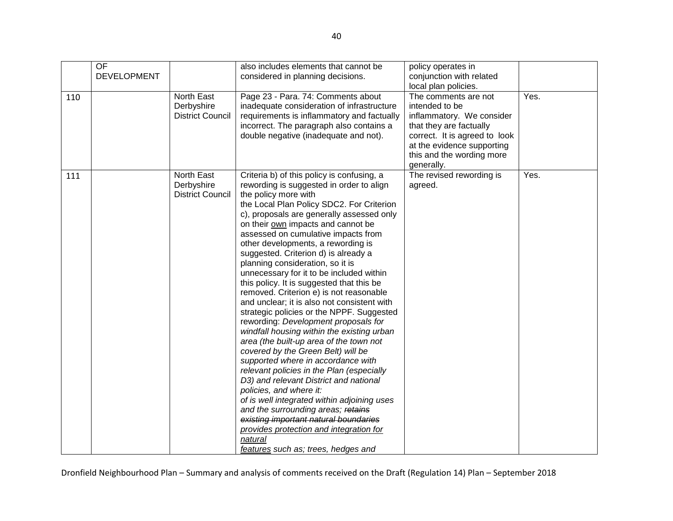|     | OF<br><b>DEVELOPMENT</b> |                                                     | also includes elements that cannot be<br>considered in planning decisions.                                                                                                                                                                                                                                                                                                                                                                                                                                                                                                                                                                                                                                                                                                                                                                                                                                                                                                                                                                                                                                                                                                                        | policy operates in<br>conjunction with related<br>local plan policies.                                                                                                                                   |      |
|-----|--------------------------|-----------------------------------------------------|---------------------------------------------------------------------------------------------------------------------------------------------------------------------------------------------------------------------------------------------------------------------------------------------------------------------------------------------------------------------------------------------------------------------------------------------------------------------------------------------------------------------------------------------------------------------------------------------------------------------------------------------------------------------------------------------------------------------------------------------------------------------------------------------------------------------------------------------------------------------------------------------------------------------------------------------------------------------------------------------------------------------------------------------------------------------------------------------------------------------------------------------------------------------------------------------------|----------------------------------------------------------------------------------------------------------------------------------------------------------------------------------------------------------|------|
| 110 |                          | North East<br>Derbyshire<br><b>District Council</b> | Page 23 - Para. 74: Comments about<br>inadequate consideration of infrastructure<br>requirements is inflammatory and factually<br>incorrect. The paragraph also contains a<br>double negative (inadequate and not).                                                                                                                                                                                                                                                                                                                                                                                                                                                                                                                                                                                                                                                                                                                                                                                                                                                                                                                                                                               | The comments are not<br>intended to be<br>inflammatory. We consider<br>that they are factually<br>correct. It is agreed to look<br>at the evidence supporting<br>this and the wording more<br>generally. | Yes. |
| 111 |                          | North East<br>Derbyshire<br><b>District Council</b> | Criteria b) of this policy is confusing, a<br>rewording is suggested in order to align<br>the policy more with<br>the Local Plan Policy SDC2. For Criterion<br>c), proposals are generally assessed only<br>on their own impacts and cannot be<br>assessed on cumulative impacts from<br>other developments, a rewording is<br>suggested. Criterion d) is already a<br>planning consideration, so it is<br>unnecessary for it to be included within<br>this policy. It is suggested that this be<br>removed. Criterion e) is not reasonable<br>and unclear; it is also not consistent with<br>strategic policies or the NPPF. Suggested<br>rewording: Development proposals for<br>windfall housing within the existing urban<br>area (the built-up area of the town not<br>covered by the Green Belt) will be<br>supported where in accordance with<br>relevant policies in the Plan (especially<br>D3) and relevant District and national<br>policies, and where it:<br>of is well integrated within adjoining uses<br>and the surrounding areas; retains<br>existing important natural boundaries<br>provides protection and integration for<br>natural<br>features such as; trees, hedges and | The revised rewording is<br>agreed.                                                                                                                                                                      | Yes. |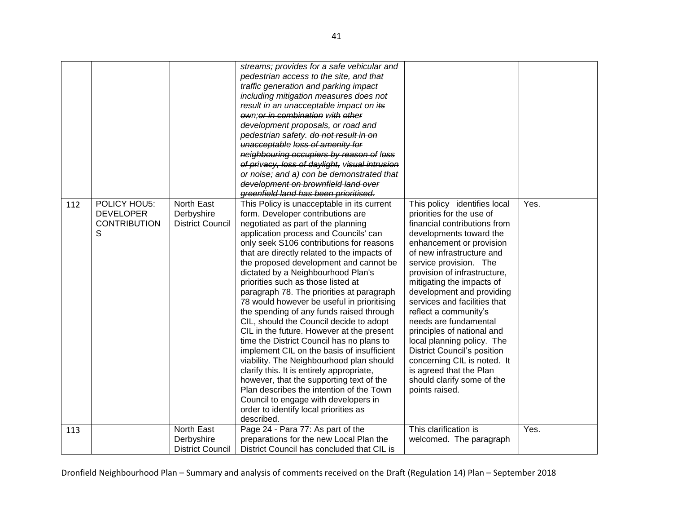| 112 | POLICY HOU5:                                 | North East                                          | streams; provides for a safe vehicular and<br>pedestrian access to the site, and that<br>traffic generation and parking impact<br>including mitigation measures does not<br>result in an unacceptable impact on its<br>own; or in combination with other<br>development proposals, or road and<br>pedestrian safety. do not result in on<br>unacceptable loss of amenity for<br>neighbouring occupiers by reason of loss<br>of privacy, loss of daylight, visual intrusion<br>or noise; and a) con be demonstrated that<br>development on brownfield land over<br>greenfield land has been prioritised.<br>This Policy is unacceptable in its current                                                                                                                                                                                                                                                                                       | This policy identifies local                                                                                                                                                                                                                                                                                                                                                                                                                                                                                                                                    | Yes. |
|-----|----------------------------------------------|-----------------------------------------------------|---------------------------------------------------------------------------------------------------------------------------------------------------------------------------------------------------------------------------------------------------------------------------------------------------------------------------------------------------------------------------------------------------------------------------------------------------------------------------------------------------------------------------------------------------------------------------------------------------------------------------------------------------------------------------------------------------------------------------------------------------------------------------------------------------------------------------------------------------------------------------------------------------------------------------------------------|-----------------------------------------------------------------------------------------------------------------------------------------------------------------------------------------------------------------------------------------------------------------------------------------------------------------------------------------------------------------------------------------------------------------------------------------------------------------------------------------------------------------------------------------------------------------|------|
|     | <b>DEVELOPER</b><br><b>CONTRIBUTION</b><br>S | Derbyshire<br><b>District Council</b>               | form. Developer contributions are<br>negotiated as part of the planning<br>application process and Councils' can<br>only seek S106 contributions for reasons<br>that are directly related to the impacts of<br>the proposed development and cannot be<br>dictated by a Neighbourhood Plan's<br>priorities such as those listed at<br>paragraph 78. The priorities at paragraph<br>78 would however be useful in prioritising<br>the spending of any funds raised through<br>CIL, should the Council decide to adopt<br>CIL in the future. However at the present<br>time the District Council has no plans to<br>implement CIL on the basis of insufficient<br>viability. The Neighbourhood plan should<br>clarify this. It is entirely appropriate,<br>however, that the supporting text of the<br>Plan describes the intention of the Town<br>Council to engage with developers in<br>order to identify local priorities as<br>described. | priorities for the use of<br>financial contributions from<br>developments toward the<br>enhancement or provision<br>of new infrastructure and<br>service provision. The<br>provision of infrastructure,<br>mitigating the impacts of<br>development and providing<br>services and facilities that<br>reflect a community's<br>needs are fundamental<br>principles of national and<br>local planning policy. The<br><b>District Council's position</b><br>concerning CIL is noted. It<br>is agreed that the Plan<br>should clarify some of the<br>points raised. |      |
| 113 |                                              | North East<br>Derbyshire<br><b>District Council</b> | Page 24 - Para 77: As part of the<br>preparations for the new Local Plan the<br>District Council has concluded that CIL is                                                                                                                                                                                                                                                                                                                                                                                                                                                                                                                                                                                                                                                                                                                                                                                                                  | This clarification is<br>welcomed. The paragraph                                                                                                                                                                                                                                                                                                                                                                                                                                                                                                                | Yes. |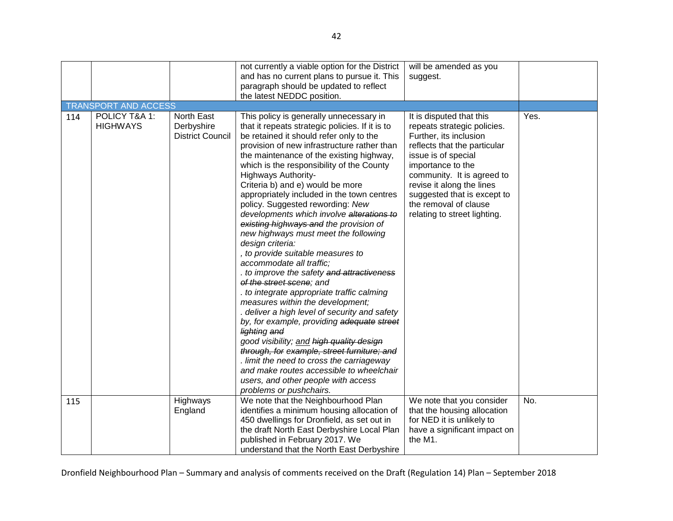|     |                                  |                                                     | not currently a viable option for the District<br>and has no current plans to pursue it. This                                                                                                                                                                                                                                                                                                                                                                                                                                                                                                                                                                                                                                                                                                                                                                                                                                                                                                                                                                                                                                                                                   | will be amended as you<br>suggest.                                                                                                                                                                                                                                                                               |      |
|-----|----------------------------------|-----------------------------------------------------|---------------------------------------------------------------------------------------------------------------------------------------------------------------------------------------------------------------------------------------------------------------------------------------------------------------------------------------------------------------------------------------------------------------------------------------------------------------------------------------------------------------------------------------------------------------------------------------------------------------------------------------------------------------------------------------------------------------------------------------------------------------------------------------------------------------------------------------------------------------------------------------------------------------------------------------------------------------------------------------------------------------------------------------------------------------------------------------------------------------------------------------------------------------------------------|------------------------------------------------------------------------------------------------------------------------------------------------------------------------------------------------------------------------------------------------------------------------------------------------------------------|------|
|     |                                  |                                                     | paragraph should be updated to reflect<br>the latest NEDDC position.                                                                                                                                                                                                                                                                                                                                                                                                                                                                                                                                                                                                                                                                                                                                                                                                                                                                                                                                                                                                                                                                                                            |                                                                                                                                                                                                                                                                                                                  |      |
|     | <b>TRANSPORT AND ACCESS</b>      |                                                     |                                                                                                                                                                                                                                                                                                                                                                                                                                                                                                                                                                                                                                                                                                                                                                                                                                                                                                                                                                                                                                                                                                                                                                                 |                                                                                                                                                                                                                                                                                                                  |      |
| 114 | POLICY T&A 1:<br><b>HIGHWAYS</b> | North East<br>Derbyshire<br><b>District Council</b> | This policy is generally unnecessary in<br>that it repeats strategic policies. If it is to<br>be retained it should refer only to the<br>provision of new infrastructure rather than<br>the maintenance of the existing highway,<br>which is the responsibility of the County<br>Highways Authority-<br>Criteria b) and e) would be more<br>appropriately included in the town centres<br>policy. Suggested rewording: New<br>developments which involve alterations to<br>existing highways and the provision of<br>new highways must meet the following<br>design criteria:<br>, to provide suitable measures to<br>accommodate all traffic;<br>. to improve the safety and attractiveness<br>of the street scene; and<br>. to integrate appropriate traffic calming<br>measures within the development;<br>. deliver a high level of security and safety<br>by, for example, providing adequate street<br>lighting and<br>good visibility; and high quality design<br>through, for example, street furniture; and<br>. limit the need to cross the carriageway<br>and make routes accessible to wheelchair<br>users, and other people with access<br>problems or pushchairs. | It is disputed that this<br>repeats strategic policies.<br>Further, its inclusion<br>reflects that the particular<br>issue is of special<br>importance to the<br>community. It is agreed to<br>revise it along the lines<br>suggested that is except to<br>the removal of clause<br>relating to street lighting. | Yes. |
| 115 |                                  | Highways<br>England                                 | We note that the Neighbourhood Plan<br>identifies a minimum housing allocation of<br>450 dwellings for Dronfield, as set out in<br>the draft North East Derbyshire Local Plan<br>published in February 2017. We<br>understand that the North East Derbyshire                                                                                                                                                                                                                                                                                                                                                                                                                                                                                                                                                                                                                                                                                                                                                                                                                                                                                                                    | We note that you consider<br>that the housing allocation<br>for NED it is unlikely to<br>have a significant impact on<br>the M1.                                                                                                                                                                                 | No.  |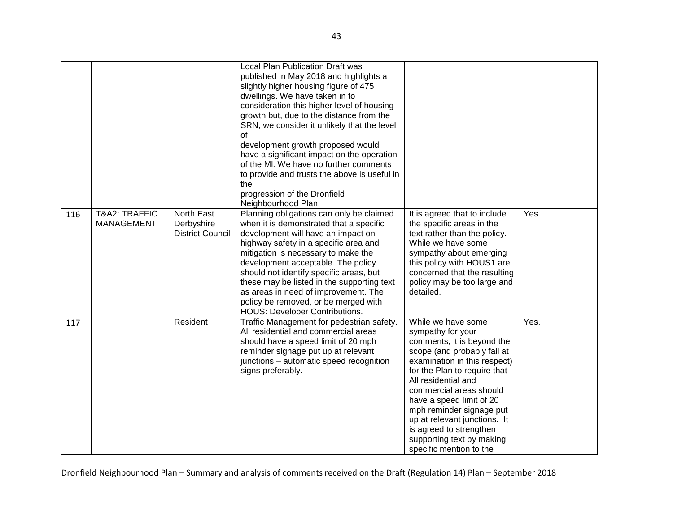|     |                                    |                                                     | <b>Local Plan Publication Draft was</b><br>published in May 2018 and highlights a<br>slightly higher housing figure of 475<br>dwellings. We have taken in to<br>consideration this higher level of housing<br>growth but, due to the distance from the<br>SRN, we consider it unlikely that the level<br>οf<br>development growth proposed would<br>have a significant impact on the operation<br>of the MI. We have no further comments<br>to provide and trusts the above is useful in<br>the<br>progression of the Dronfield<br>Neighbourhood Plan. |                                                                                                                                                                                                                                                                                                                                                                                                   |      |
|-----|------------------------------------|-----------------------------------------------------|--------------------------------------------------------------------------------------------------------------------------------------------------------------------------------------------------------------------------------------------------------------------------------------------------------------------------------------------------------------------------------------------------------------------------------------------------------------------------------------------------------------------------------------------------------|---------------------------------------------------------------------------------------------------------------------------------------------------------------------------------------------------------------------------------------------------------------------------------------------------------------------------------------------------------------------------------------------------|------|
| 116 | T&A2: TRAFFIC<br><b>MANAGEMENT</b> | North East<br>Derbyshire<br><b>District Council</b> | Planning obligations can only be claimed<br>when it is demonstrated that a specific<br>development will have an impact on<br>highway safety in a specific area and<br>mitigation is necessary to make the<br>development acceptable. The policy<br>should not identify specific areas, but<br>these may be listed in the supporting text<br>as areas in need of improvement. The<br>policy be removed, or be merged with<br><b>HOUS: Developer Contributions.</b>                                                                                      | It is agreed that to include<br>the specific areas in the<br>text rather than the policy.<br>While we have some<br>sympathy about emerging<br>this policy with HOUS1 are<br>concerned that the resulting<br>policy may be too large and<br>detailed.                                                                                                                                              | Yes. |
| 117 |                                    | Resident                                            | Traffic Management for pedestrian safety.<br>All residential and commercial areas<br>should have a speed limit of 20 mph<br>reminder signage put up at relevant<br>junctions - automatic speed recognition<br>signs preferably.                                                                                                                                                                                                                                                                                                                        | While we have some<br>sympathy for your<br>comments, it is beyond the<br>scope (and probably fail at<br>examination in this respect)<br>for the Plan to require that<br>All residential and<br>commercial areas should<br>have a speed limit of 20<br>mph reminder signage put<br>up at relevant junctions. It<br>is agreed to strengthen<br>supporting text by making<br>specific mention to the | Yes. |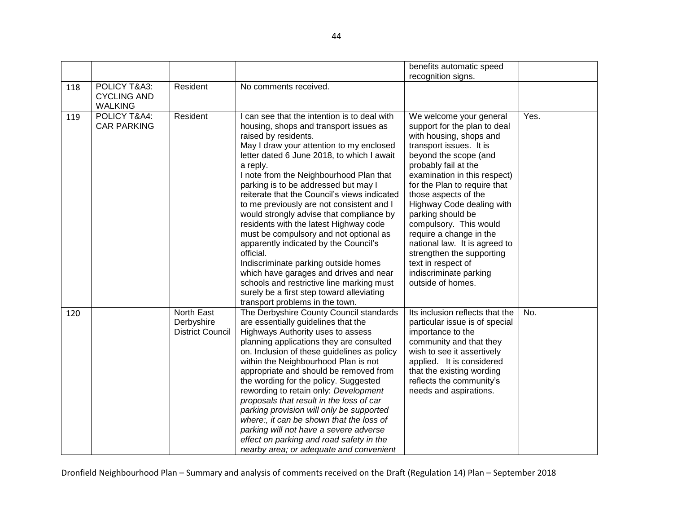|     |                                                      |                                                     |                                                                                                                                                                                                                                                                                                                                                                                                                                                                                                                                                                                                                                                                                                                                                                                                           | benefits automatic speed                                                                                                                                                                                                                                                                                                                                                                                                                                                                         |      |
|-----|------------------------------------------------------|-----------------------------------------------------|-----------------------------------------------------------------------------------------------------------------------------------------------------------------------------------------------------------------------------------------------------------------------------------------------------------------------------------------------------------------------------------------------------------------------------------------------------------------------------------------------------------------------------------------------------------------------------------------------------------------------------------------------------------------------------------------------------------------------------------------------------------------------------------------------------------|--------------------------------------------------------------------------------------------------------------------------------------------------------------------------------------------------------------------------------------------------------------------------------------------------------------------------------------------------------------------------------------------------------------------------------------------------------------------------------------------------|------|
|     |                                                      |                                                     |                                                                                                                                                                                                                                                                                                                                                                                                                                                                                                                                                                                                                                                                                                                                                                                                           | recognition signs.                                                                                                                                                                                                                                                                                                                                                                                                                                                                               |      |
| 118 | POLICY T&A3:<br><b>CYCLING AND</b><br><b>WALKING</b> | Resident                                            | No comments received.                                                                                                                                                                                                                                                                                                                                                                                                                                                                                                                                                                                                                                                                                                                                                                                     |                                                                                                                                                                                                                                                                                                                                                                                                                                                                                                  |      |
| 119 | POLICY T&A4:<br><b>CAR PARKING</b>                   | Resident                                            | I can see that the intention is to deal with<br>housing, shops and transport issues as<br>raised by residents.<br>May I draw your attention to my enclosed<br>letter dated 6 June 2018, to which I await<br>a reply.<br>I note from the Neighbourhood Plan that<br>parking is to be addressed but may I<br>reiterate that the Council's views indicated<br>to me previously are not consistent and I<br>would strongly advise that compliance by<br>residents with the latest Highway code<br>must be compulsory and not optional as<br>apparently indicated by the Council's<br>official.<br>Indiscriminate parking outside homes<br>which have garages and drives and near<br>schools and restrictive line marking must<br>surely be a first step toward alleviating<br>transport problems in the town. | We welcome your general<br>support for the plan to deal<br>with housing, shops and<br>transport issues. It is<br>beyond the scope (and<br>probably fail at the<br>examination in this respect)<br>for the Plan to require that<br>those aspects of the<br>Highway Code dealing with<br>parking should be<br>compulsory. This would<br>require a change in the<br>national law. It is agreed to<br>strengthen the supporting<br>text in respect of<br>indiscriminate parking<br>outside of homes. | Yes. |
| 120 |                                                      | North East<br>Derbyshire<br><b>District Council</b> | The Derbyshire County Council standards<br>are essentially guidelines that the<br>Highways Authority uses to assess<br>planning applications they are consulted<br>on. Inclusion of these guidelines as policy<br>within the Neighbourhood Plan is not<br>appropriate and should be removed from<br>the wording for the policy. Suggested<br>rewording to retain only: Development<br>proposals that result in the loss of car<br>parking provision will only be supported<br>where:, it can be shown that the loss of<br>parking will not have a severe adverse<br>effect on parking and road safety in the<br>nearby area; or adequate and convenient                                                                                                                                                   | Its inclusion reflects that the<br>particular issue is of special<br>importance to the<br>community and that they<br>wish to see it assertively<br>applied. It is considered<br>that the existing wording<br>reflects the community's<br>needs and aspirations.                                                                                                                                                                                                                                  | No.  |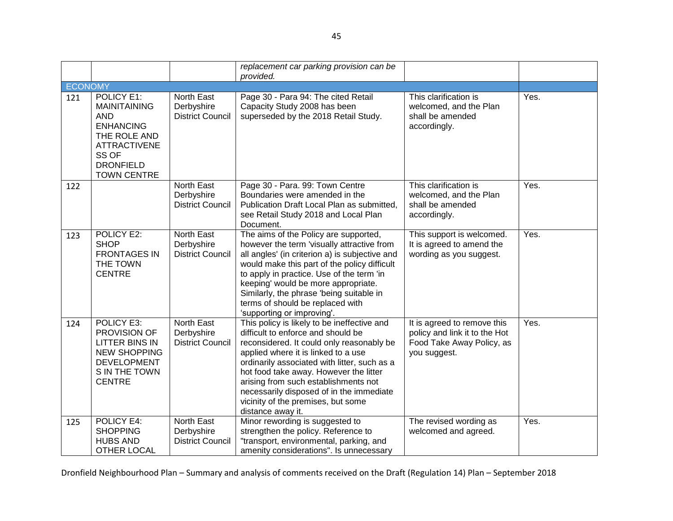|         |                                                                                                                                                               |                                                            | replacement car parking provision can be<br>provided.                                                                                                                                                                                                                                                                                                                                                          |                                                                                                           |      |
|---------|---------------------------------------------------------------------------------------------------------------------------------------------------------------|------------------------------------------------------------|----------------------------------------------------------------------------------------------------------------------------------------------------------------------------------------------------------------------------------------------------------------------------------------------------------------------------------------------------------------------------------------------------------------|-----------------------------------------------------------------------------------------------------------|------|
| ECONOMY |                                                                                                                                                               |                                                            |                                                                                                                                                                                                                                                                                                                                                                                                                |                                                                                                           |      |
| 121     | POLICY E1:<br><b>MAINITAINING</b><br><b>AND</b><br><b>ENHANCING</b><br>THE ROLE AND<br><b>ATTRACTIVENE</b><br>SS OF<br><b>DRONFIELD</b><br><b>TOWN CENTRE</b> | North East<br>Derbyshire<br><b>District Council</b>        | Page 30 - Para 94: The cited Retail<br>Capacity Study 2008 has been<br>superseded by the 2018 Retail Study.                                                                                                                                                                                                                                                                                                    | This clarification is<br>welcomed, and the Plan<br>shall be amended<br>accordingly.                       | Yes. |
| 122     |                                                                                                                                                               | <b>North East</b><br>Derbyshire<br><b>District Council</b> | Page 30 - Para. 99: Town Centre<br>Boundaries were amended in the<br>Publication Draft Local Plan as submitted,<br>see Retail Study 2018 and Local Plan<br>Document.                                                                                                                                                                                                                                           | This clarification is<br>welcomed, and the Plan<br>shall be amended<br>accordingly.                       | Yes. |
| 123     | POLICY E2:<br><b>SHOP</b><br><b>FRONTAGES IN</b><br>THE TOWN<br><b>CENTRE</b>                                                                                 | North East<br>Derbyshire<br><b>District Council</b>        | The aims of the Policy are supported,<br>however the term 'visually attractive from<br>all angles' (in criterion a) is subjective and<br>would make this part of the policy difficult<br>to apply in practice. Use of the term 'in<br>keeping' would be more appropriate.<br>Similarly, the phrase 'being suitable in<br>terms of should be replaced with<br>'supporting or improving'.                        | This support is welcomed.<br>It is agreed to amend the<br>wording as you suggest.                         | Yes. |
| 124     | POLICY E3:<br>PROVISION OF<br><b>LITTER BINS IN</b><br><b>NEW SHOPPING</b><br><b>DEVELOPMENT</b><br>S IN THE TOWN<br><b>CENTRE</b>                            | <b>North East</b><br>Derbyshire<br><b>District Council</b> | This policy is likely to be ineffective and<br>difficult to enforce and should be<br>reconsidered. It could only reasonably be<br>applied where it is linked to a use<br>ordinarily associated with litter, such as a<br>hot food take away. However the litter<br>arising from such establishments not<br>necessarily disposed of in the immediate<br>vicinity of the premises, but some<br>distance away it. | It is agreed to remove this<br>policy and link it to the Hot<br>Food Take Away Policy, as<br>you suggest. | Yes. |
| 125     | POLICY E4:<br><b>SHOPPING</b><br><b>HUBS AND</b><br>OTHER LOCAL                                                                                               | North East<br>Derbyshire<br><b>District Council</b>        | Minor rewording is suggested to<br>strengthen the policy. Reference to<br>"transport, environmental, parking, and<br>amenity considerations". Is unnecessary                                                                                                                                                                                                                                                   | The revised wording as<br>welcomed and agreed.                                                            | Yes. |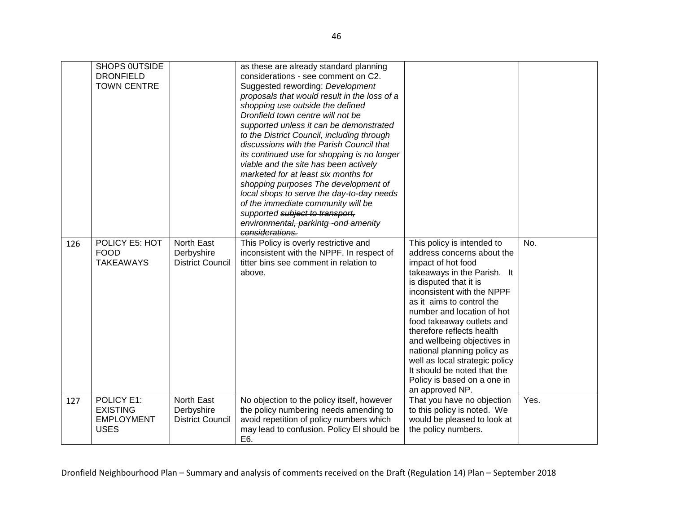|     | SHOPS OUTSIDE<br><b>DRONFIELD</b><br><b>TOWN CENTRE</b>           |                                                     | as these are already standard planning<br>considerations - see comment on C2.<br>Suggested rewording: Development<br>proposals that would result in the loss of a<br>shopping use outside the defined<br>Dronfield town centre will not be<br>supported unless it can be demonstrated<br>to the District Council, including through<br>discussions with the Parish Council that<br>its continued use for shopping is no longer<br>viable and the site has been actively<br>marketed for at least six months for<br>shopping purposes The development of<br>local shops to serve the day-to-day needs<br>of the immediate community will be<br>supported subject to transport,<br>environmental, parkintg-ond amenity<br>considerations. |                                                                                                                                                                                                                                                                                                                                                                                                                                                                             |      |
|-----|-------------------------------------------------------------------|-----------------------------------------------------|-----------------------------------------------------------------------------------------------------------------------------------------------------------------------------------------------------------------------------------------------------------------------------------------------------------------------------------------------------------------------------------------------------------------------------------------------------------------------------------------------------------------------------------------------------------------------------------------------------------------------------------------------------------------------------------------------------------------------------------------|-----------------------------------------------------------------------------------------------------------------------------------------------------------------------------------------------------------------------------------------------------------------------------------------------------------------------------------------------------------------------------------------------------------------------------------------------------------------------------|------|
| 126 | POLICY E5: HOT<br><b>FOOD</b><br><b>TAKEAWAYS</b>                 | North East<br>Derbyshire<br><b>District Council</b> | This Policy is overly restrictive and<br>inconsistent with the NPPF. In respect of<br>titter bins see comment in relation to<br>above.                                                                                                                                                                                                                                                                                                                                                                                                                                                                                                                                                                                                  | This policy is intended to<br>address concerns about the<br>impact of hot food<br>takeaways in the Parish. It<br>is disputed that it is<br>inconsistent with the NPPF<br>as it aims to control the<br>number and location of hot<br>food takeaway outlets and<br>therefore reflects health<br>and wellbeing objectives in<br>national planning policy as<br>well as local strategic policy<br>It should be noted that the<br>Policy is based on a one in<br>an approved NP. | No.  |
| 127 | POLICY E1:<br><b>EXISTING</b><br><b>EMPLOYMENT</b><br><b>USES</b> | North East<br>Derbyshire<br><b>District Council</b> | No objection to the policy itself, however<br>the policy numbering needs amending to<br>avoid repetition of policy numbers which<br>may lead to confusion. Policy El should be<br>E6.                                                                                                                                                                                                                                                                                                                                                                                                                                                                                                                                                   | That you have no objection<br>to this policy is noted. We<br>would be pleased to look at<br>the policy numbers.                                                                                                                                                                                                                                                                                                                                                             | Yes. |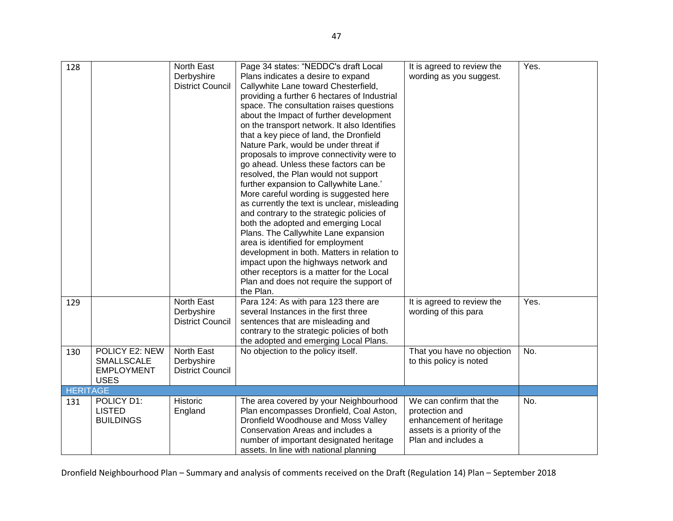| 128             |                                                                         | North East<br>Derbyshire<br><b>District Council</b> | Page 34 states: "NEDDC's draft Local<br>Plans indicates a desire to expand<br>Callywhite Lane toward Chesterfield,<br>providing a further 6 hectares of Industrial<br>space. The consultation raises questions<br>about the Impact of further development<br>on the transport network. It also Identifies<br>that a key piece of land, the Dronfield<br>Nature Park, would be under threat if<br>proposals to improve connectivity were to<br>go ahead. Unless these factors can be<br>resolved, the Plan would not support<br>further expansion to Callywhite Lane.'<br>More careful wording is suggested here<br>as currently the text is unclear, misleading<br>and contrary to the strategic policies of<br>both the adopted and emerging Local<br>Plans. The Callywhite Lane expansion<br>area is identified for employment<br>development in both. Matters in relation to<br>impact upon the highways network and<br>other receptors is a matter for the Local<br>Plan and does not require the support of<br>the Plan. | It is agreed to review the<br>wording as you suggest.                                                                      | Yes. |
|-----------------|-------------------------------------------------------------------------|-----------------------------------------------------|-------------------------------------------------------------------------------------------------------------------------------------------------------------------------------------------------------------------------------------------------------------------------------------------------------------------------------------------------------------------------------------------------------------------------------------------------------------------------------------------------------------------------------------------------------------------------------------------------------------------------------------------------------------------------------------------------------------------------------------------------------------------------------------------------------------------------------------------------------------------------------------------------------------------------------------------------------------------------------------------------------------------------------|----------------------------------------------------------------------------------------------------------------------------|------|
| 129             |                                                                         | North East<br>Derbyshire<br><b>District Council</b> | Para 124: As with para 123 there are<br>several Instances in the first three<br>sentences that are misleading and<br>contrary to the strategic policies of both<br>the adopted and emerging Local Plans.                                                                                                                                                                                                                                                                                                                                                                                                                                                                                                                                                                                                                                                                                                                                                                                                                      | It is agreed to review the<br>wording of this para                                                                         | Yes. |
| 130             | POLICY E2: NEW<br><b>SMALLSCALE</b><br><b>EMPLOYMENT</b><br><b>USES</b> | North East<br>Derbyshire<br><b>District Council</b> | No objection to the policy itself.                                                                                                                                                                                                                                                                                                                                                                                                                                                                                                                                                                                                                                                                                                                                                                                                                                                                                                                                                                                            | That you have no objection<br>to this policy is noted                                                                      | No.  |
| <b>HERITAGE</b> |                                                                         |                                                     |                                                                                                                                                                                                                                                                                                                                                                                                                                                                                                                                                                                                                                                                                                                                                                                                                                                                                                                                                                                                                               |                                                                                                                            |      |
| 131             | POLICY D1:<br><b>LISTED</b><br><b>BUILDINGS</b>                         | <b>Historic</b><br>England                          | The area covered by your Neighbourhood<br>Plan encompasses Dronfield, Coal Aston,<br>Dronfield Woodhouse and Moss Valley<br>Conservation Areas and includes a<br>number of important designated heritage<br>assets. In line with national planning                                                                                                                                                                                                                                                                                                                                                                                                                                                                                                                                                                                                                                                                                                                                                                            | We can confirm that the<br>protection and<br>enhancement of heritage<br>assets is a priority of the<br>Plan and includes a | No.  |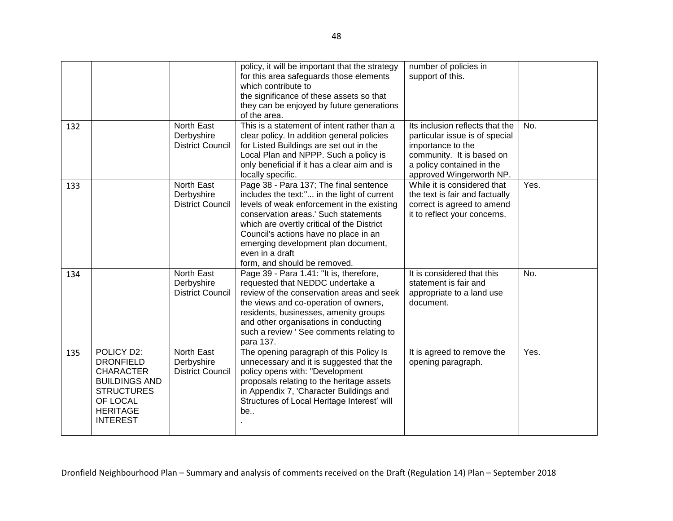|     |                                                                                                                                                   |                                                     | policy, it will be important that the strategy<br>for this area safeguards those elements<br>which contribute to<br>the significance of these assets so that<br>they can be enjoyed by future generations<br>of the area.                                                                                                                                    | number of policies in<br>support of this.                                                                                                                                    |      |
|-----|---------------------------------------------------------------------------------------------------------------------------------------------------|-----------------------------------------------------|--------------------------------------------------------------------------------------------------------------------------------------------------------------------------------------------------------------------------------------------------------------------------------------------------------------------------------------------------------------|------------------------------------------------------------------------------------------------------------------------------------------------------------------------------|------|
| 132 |                                                                                                                                                   | North East<br>Derbyshire<br><b>District Council</b> | This is a statement of intent rather than a<br>clear policy. In addition general policies<br>for Listed Buildings are set out in the<br>Local Plan and NPPP. Such a policy is<br>only beneficial if it has a clear aim and is<br>locally specific.                                                                                                           | Its inclusion reflects that the<br>particular issue is of special<br>importance to the<br>community. It is based on<br>a policy contained in the<br>approved Wingerworth NP. | No.  |
| 133 |                                                                                                                                                   | North East<br>Derbyshire<br><b>District Council</b> | Page 38 - Para 137; The final sentence<br>includes the text:" in the light of current<br>levels of weak enforcement in the existing<br>conservation areas.' Such statements<br>which are overtly critical of the District<br>Council's actions have no place in an<br>emerging development plan document,<br>even in a draft<br>form, and should be removed. | While it is considered that<br>the text is fair and factually<br>correct is agreed to amend<br>it to reflect your concerns.                                                  | Yes. |
| 134 |                                                                                                                                                   | North East<br>Derbyshire<br><b>District Council</b> | Page 39 - Para 1.41: "It is, therefore,<br>requested that NEDDC undertake a<br>review of the conservation areas and seek<br>the views and co-operation of owners,<br>residents, businesses, amenity groups<br>and other organisations in conducting<br>such a review ' See comments relating to<br>para 137.                                                 | It is considered that this<br>statement is fair and<br>appropriate to a land use<br>document.                                                                                | No.  |
| 135 | POLICY D2:<br><b>DRONFIELD</b><br><b>CHARACTER</b><br><b>BUILDINGS AND</b><br><b>STRUCTURES</b><br>OF LOCAL<br><b>HERITAGE</b><br><b>INTEREST</b> | North East<br>Derbyshire<br><b>District Council</b> | The opening paragraph of this Policy Is<br>unnecessary and it is suggested that the<br>policy opens with: "Development<br>proposals relating to the heritage assets<br>in Appendix 7, 'Character Buildings and<br>Structures of Local Heritage Interest' will<br>be                                                                                          | It is agreed to remove the<br>opening paragraph.                                                                                                                             | Yes. |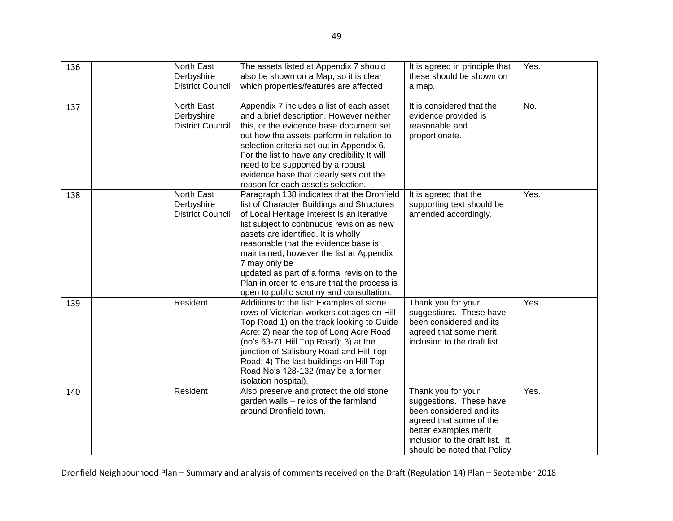| 136 | North East<br>Derbyshire<br><b>District Council</b> | The assets listed at Appendix 7 should<br>also be shown on a Map, so it is clear<br>which properties/features are affected                                                                                                                                                                                                                                                                                                                                                  | It is agreed in principle that<br>these should be shown on<br>a map.                                                                                                                           | Yes. |
|-----|-----------------------------------------------------|-----------------------------------------------------------------------------------------------------------------------------------------------------------------------------------------------------------------------------------------------------------------------------------------------------------------------------------------------------------------------------------------------------------------------------------------------------------------------------|------------------------------------------------------------------------------------------------------------------------------------------------------------------------------------------------|------|
| 137 | North East<br>Derbyshire<br><b>District Council</b> | Appendix 7 includes a list of each asset<br>and a brief description. However neither<br>this, or the evidence base document set<br>out how the assets perform in relation to<br>selection criteria set out in Appendix 6.<br>For the list to have any credibility It will<br>need to be supported by a robust<br>evidence base that clearly sets out the<br>reason for each asset's selection.                                                                              | It is considered that the<br>evidence provided is<br>reasonable and<br>proportionate.                                                                                                          | No.  |
| 138 | North East<br>Derbyshire<br><b>District Council</b> | Paragraph 138 indicates that the Dronfield<br>list of Character Buildings and Structures<br>of Local Heritage Interest is an iterative<br>list subject to continuous revision as new<br>assets are identified. It is wholly<br>reasonable that the evidence base is<br>maintained, however the list at Appendix<br>7 may only be<br>updated as part of a formal revision to the<br>Plan in order to ensure that the process is<br>open to public scrutiny and consultation. | It is agreed that the<br>supporting text should be<br>amended accordingly.                                                                                                                     | Yes. |
| 139 | Resident                                            | Additions to the list: Examples of stone<br>rows of Victorian workers cottages on Hill<br>Top Road 1) on the track looking to Guide<br>Acre; 2) near the top of Long Acre Road<br>(no's 63-71 Hill Top Road); 3) at the<br>junction of Salisbury Road and Hill Top<br>Road; 4) The last buildings on Hill Top<br>Road No's 128-132 (may be a former<br>isolation hospital).                                                                                                 | Thank you for your<br>suggestions. These have<br>been considered and its<br>agreed that some merit<br>inclusion to the draft list.                                                             | Yes. |
| 140 | Resident                                            | Also preserve and protect the old stone<br>garden walls - relics of the farmland<br>around Dronfield town.                                                                                                                                                                                                                                                                                                                                                                  | Thank you for your<br>suggestions. These have<br>been considered and its<br>agreed that some of the<br>better examples merit<br>inclusion to the draft list. It<br>should be noted that Policy | Yes. |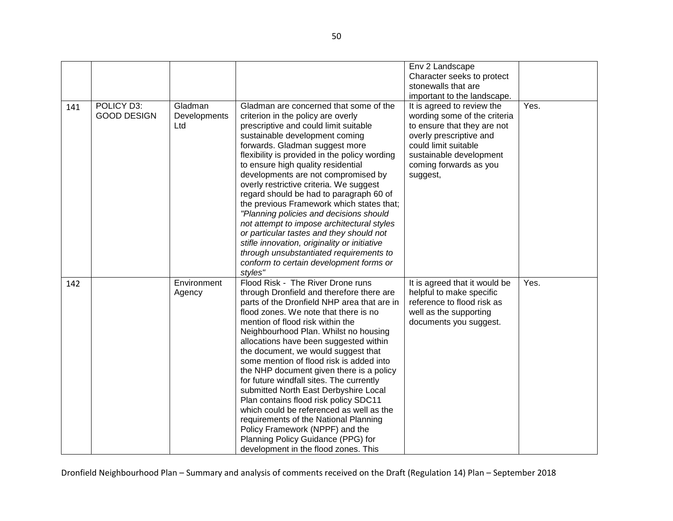|     |                                  |                                |                                                                                                                                                                                                                                                                                                                                                                                                                                                                                                                                                                                                                                                                                                                                                                  | Env 2 Landscape<br>Character seeks to protect<br>stonewalls that are<br>important to the landscape.                                                                                                           |      |
|-----|----------------------------------|--------------------------------|------------------------------------------------------------------------------------------------------------------------------------------------------------------------------------------------------------------------------------------------------------------------------------------------------------------------------------------------------------------------------------------------------------------------------------------------------------------------------------------------------------------------------------------------------------------------------------------------------------------------------------------------------------------------------------------------------------------------------------------------------------------|---------------------------------------------------------------------------------------------------------------------------------------------------------------------------------------------------------------|------|
| 141 | POLICY D3:<br><b>GOOD DESIGN</b> | Gladman<br>Developments<br>Ltd | Gladman are concerned that some of the<br>criterion in the policy are overly<br>prescriptive and could limit suitable<br>sustainable development coming<br>forwards. Gladman suggest more<br>flexibility is provided in the policy wording<br>to ensure high quality residential<br>developments are not compromised by<br>overly restrictive criteria. We suggest<br>regard should be had to paragraph 60 of<br>the previous Framework which states that;<br>"Planning policies and decisions should<br>not attempt to impose architectural styles<br>or particular tastes and they should not<br>stifle innovation, originality or initiative<br>through unsubstantiated requirements to<br>conform to certain development forms or<br>styles"                 | It is agreed to review the<br>wording some of the criteria<br>to ensure that they are not<br>overly prescriptive and<br>could limit suitable<br>sustainable development<br>coming forwards as you<br>suggest, | Yes. |
| 142 |                                  | Environment<br>Agency          | Flood Risk - The River Drone runs<br>through Dronfield and therefore there are<br>parts of the Dronfield NHP area that are in<br>flood zones. We note that there is no<br>mention of flood risk within the<br>Neighbourhood Plan. Whilst no housing<br>allocations have been suggested within<br>the document, we would suggest that<br>some mention of flood risk is added into<br>the NHP document given there is a policy<br>for future windfall sites. The currently<br>submitted North East Derbyshire Local<br>Plan contains flood risk policy SDC11<br>which could be referenced as well as the<br>requirements of the National Planning<br>Policy Framework (NPPF) and the<br>Planning Policy Guidance (PPG) for<br>development in the flood zones. This | It is agreed that it would be<br>helpful to make specific<br>reference to flood risk as<br>well as the supporting<br>documents you suggest.                                                                   | Yes. |